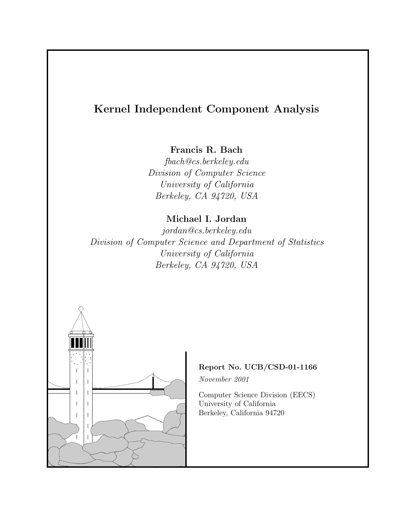# **Kernel Independent Component Analysis**

**Francis R. Bach**

fbach@cs.berkeley.edu Division of Computer Science University of California Berkeley, CA 94720, USA

## **Michael I. Jordan**

jordan@cs.berkeley.edu Division of Computer Science and Department of Statistics University of California Berkeley, CA 94720, USA



### **Report No. UCB/CSD-01-1166**

November 2001

Computer Science Division (EECS) University of California Berkeley, California 94720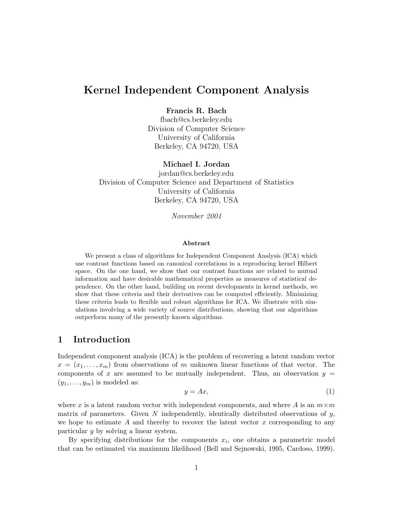# **Kernel Independent Component Analysis**

**Francis R. Bach**

fbach@cs.berkeley.edu Division of Computer Science University of California Berkeley, CA 94720, USA

### **Michael I. Jordan**

jordan@cs.berkeley.edu Division of Computer Science and Department of Statistics University of California Berkeley, CA 94720, USA

November 2001

#### **Abstract**

We present a class of algorithms for Independent Component Analysis (ICA) which use contrast functions based on canonical correlations in a reproducing kernel Hilbert space. On the one hand, we show that our contrast functions are related to mutual information and have desirable mathematical properties as measures of statistical dependence. On the other hand, building on recent developments in kernel methods, we show that these criteria and their derivatives can be computed efficiently. Minimizing these criteria leads to flexible and robust algorithms for ICA. We illustrate with simulations involving a wide variety of source distributions, showing that our algorithms outperform many of the presently known algorithms.

### **1 Introduction**

Independent component analysis (ICA) is the problem of recovering a latent random vector  $x = (x_1, \ldots, x_m)$  from observations of m unknown linear functions of that vector. The components of x are assumed to be mutually independent. Thus, an observation  $y =$  $(y_1,\ldots,y_m)$  is modeled as:

$$
y = Ax,\tag{1}
$$

where x is a latent random vector with independent components, and where A is an  $m \times m$ matrix of parameters. Given N independently, identically distributed observations of y, we hope to estimate  $A$  and thereby to recover the latent vector  $x$  corresponding to any particular y by solving a linear system.

By specifying distributions for the components  $x_i$ , one obtains a parametric model that can be estimated via maximum likelihood (Bell and Sejnowski, 1995, Cardoso, 1999).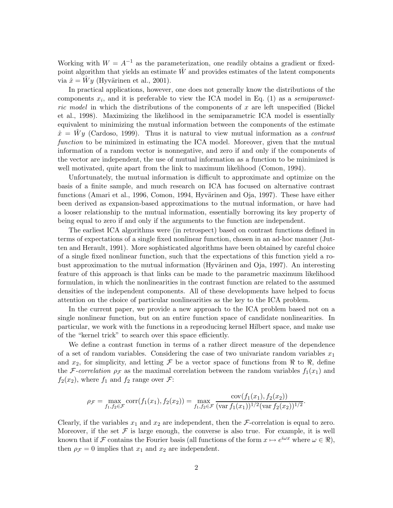Working with  $W = A^{-1}$  as the parameterization, one readily obtains a gradient or fixedpoint algorithm that yields an estimate  $\hat{W}$  and provides estimates of the latent components via  $\hat{x} = Wy$  (Hyvärinen et al., 2001).

In practical applications, however, one does not generally know the distributions of the components  $x_i$ , and it is preferable to view the ICA model in Eq.  $(1)$  as a *semiparametric model* in which the distributions of the components of x are left unspecified (Bickel et al., 1998). Maximizing the likelihood in the semiparametric ICA model is essentially equivalent to minimizing the mutual information between the components of the estimate  $\hat{x} = Wy$  (Cardoso, 1999). Thus it is natural to view mutual information as a *contrast function* to be minimized in estimating the ICA model. Moreover, given that the mutual information of a random vector is nonnegative, and zero if and only if the components of the vector are independent, the use of mutual information as a function to be minimized is well motivated, quite apart from the link to maximum likelihood (Comon, 1994).

Unfortunately, the mutual information is difficult to approximate and optimize on the basis of a finite sample, and much research on ICA has focused on alternative contrast functions (Amari et al., 1996, Comon, 1994, Hyvärinen and Oja, 1997). These have either been derived as expansion-based approximations to the mutual information, or have had a looser relationship to the mutual information, essentially borrowing its key property of being equal to zero if and only if the arguments to the function are independent.

The earliest ICA algorithms were (in retrospect) based on contrast functions defined in terms of expectations of a single fixed nonlinear function, chosen in an ad-hoc manner (Jutten and Herault, 1991). More sophisticated algorithms have been obtained by careful choice of a single fixed nonlinear function, such that the expectations of this function yield a robust approximation to the mutual information (Hyvärinen and Oja, 1997). An interesting feature of this approach is that links can be made to the parametric maximum likelihood formulation, in which the nonlinearities in the contrast function are related to the assumed densities of the independent components. All of these developments have helped to focus attention on the choice of particular nonlinearities as the key to the ICA problem.

In the current paper, we provide a new approach to the ICA problem based not on a single nonlinear function, but on an entire function space of candidate nonlinearities. In particular, we work with the functions in a reproducing kernel Hilbert space, and make use of the "kernel trick" to search over this space efficiently.

We define a contrast function in terms of a rather direct measure of the dependence of a set of random variables. Considering the case of two univariate random variables  $x_1$ and  $x_2$ , for simplicity, and letting F be a vector space of functions from R to R, define the F-correlation  $\rho$ <sub>F</sub> as the maximal correlation between the random variables  $f_1(x_1)$  and  $f_2(x_2)$ , where  $f_1$  and  $f_2$  range over  $\mathcal{F}$ :

$$
\rho_{\mathcal{F}} = \max_{f_1, f_2 \in \mathcal{F}} \text{corr}(f_1(x_1), f_2(x_2)) = \max_{f_1, f_2 \in \mathcal{F}} \frac{\text{cov}(f_1(x_1), f_2(x_2))}{(\text{var } f_1(x_1))^{1/2}(\text{var } f_2(x_2))^{1/2}}.
$$

Clearly, if the variables  $x_1$  and  $x_2$  are independent, then the *F*-correlation is equal to zero. Moreover, if the set  $\mathcal F$  is large enough, the converse is also true. For example, it is well known that if F contains the Fourier basis (all functions of the form  $x \mapsto e^{i\omega x}$  where  $\omega \in \Re$ ), then  $\rho$ <sub>F</sub> = 0 implies that  $x_1$  and  $x_2$  are independent.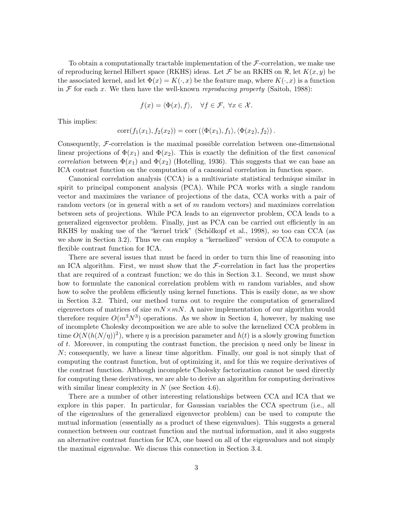To obtain a computationally tractable implementation of the  $\mathcal F$ -correlation, we make use of reproducing kernel Hilbert space (RKHS) ideas. Let  $\mathcal F$  be an RKHS on  $\Re$ , let  $K(x, y)$  be the associated kernel, and let  $\Phi(x) = K(\cdot, x)$  be the feature map, where  $K(\cdot, x)$  is a function in  $\mathcal F$  for each x. We then have the well-known *reproducing property* (Saitoh, 1988):

$$
f(x) = \langle \Phi(x), f \rangle, \quad \forall f \in \mathcal{F}, \ \forall x \in \mathcal{X}.
$$

This implies:

$$
corr(f_1(x_1), f_2(x_2)) = corr\left(\langle \Phi(x_1), f_1 \rangle, \langle \Phi(x_2), f_2 \rangle\right).
$$

Consequently,  $F$ -correlation is the maximal possible correlation between one-dimensional linear projections of  $\Phi(x_1)$  and  $\Phi(x_2)$ . This is exactly the definition of the first *canonical correlation* between  $\Phi(x_1)$  and  $\Phi(x_2)$  (Hotelling, 1936). This suggests that we can base an ICA contrast function on the computation of a canonical correlation in function space.

Canonical correlation analysis (CCA) is a multivariate statistical technique similar in spirit to principal component analysis (PCA). While PCA works with a single random vector and maximizes the variance of projections of the data, CCA works with a pair of random vectors (or in general with a set of m random vectors) and maximizes correlation between sets of projections. While PCA leads to an eigenvector problem, CCA leads to a generalized eigenvector problem. Finally, just as PCA can be carried out efficiently in an RKHS by making use of the "kernel trick" (Schölkopf et al., 1998), so too can CCA (as we show in Section 3.2). Thus we can employ a "kernelized" version of CCA to compute a flexible contrast function for ICA.

There are several issues that must be faced in order to turn this line of reasoning into an ICA algorithm. First, we must show that the  $\mathcal{F}\text{-correlation}$  in fact has the properties that are required of a contrast function; we do this in Section 3.1. Second, we must show how to formulate the canonical correlation problem with m random variables, and show how to solve the problem efficiently using kernel functions. This is easily done, as we show in Section 3.2. Third, our method turns out to require the computation of generalized eigenvectors of matrices of size  $mN\times mN$ . A naive implementation of our algorithm would therefore require  $O(m^3N^3)$  operations. As we show in Section 4, however, by making use of incomplete Cholesky decomposition we are able to solve the kernelized CCA problem in time  $O(N(h(N/\eta))^2)$ , where  $\eta$  is a precision parameter and  $h(t)$  is a slowly growing function of t. Moreover, in computing the contrast function, the precision  $\eta$  need only be linear in N; consequently, we have a linear time algorithm. Finally, our goal is not simply that of computing the contrast function, but of optimizing it, and for this we require derivatives of the contrast function. Although incomplete Cholesky factorization cannot be used directly for computing these derivatives, we are able to derive an algorithm for computing derivatives with similar linear complexity in  $N$  (see Section 4.6).

There are a number of other interesting relationships between CCA and ICA that we explore in this paper. In particular, for Gaussian variables the CCA spectrum (i.e., all of the eigenvalues of the generalized eigenvector problem) can be used to compute the mutual information (essentially as a product of these eigenvalues). This suggests a general connection between our contrast function and the mutual information, and it also suggests an alternative contrast function for ICA, one based on all of the eigenvalues and not simply the maximal eigenvalue. We discuss this connection in Section 3.4.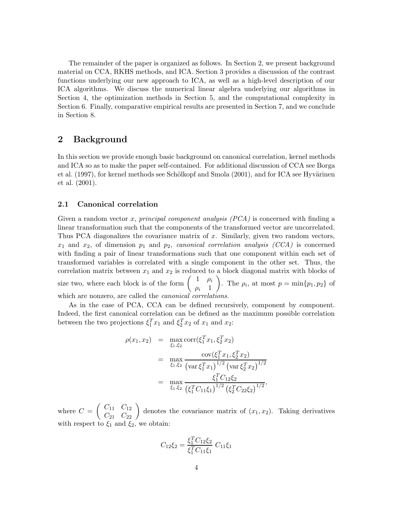The remainder of the paper is organized as follows. In Section 2, we present background material on CCA, RKHS methods, and ICA. Section 3 provides a discussion of the contrast functions underlying our new approach to ICA, as well as a high-level description of our ICA algorithms. We discuss the numerical linear algebra underlying our algorithms in Section 4, the optimization methods in Section 5, and the computational complexity in Section 6. Finally, comparative empirical results are presented in Section 7, and we conclude in Section 8.

### **2 Background**

In this section we provide enough basic background on canonical correlation, kernel methods and ICA so as to make the paper self-contained. For additional discussion of CCA see Borga et al.  $(1997)$ , for kernel methods see Schölkopf and Smola  $(2001)$ , and for ICA see Hyvärinen et al. (2001).

### **2.1 Canonical correlation**

Given a random vector x, *principal component analysis (PCA)* is concerned with finding a linear transformation such that the components of the transformed vector are uncorrelated. Thus PCA diagonalizes the covariance matrix of  $x$ . Similarly, given two random vectors,  $x_1$  and  $x_2$ , of dimension  $p_1$  and  $p_2$ , *canonical correlation analysis (CCA)* is concerned with finding a pair of linear transformations such that one component within each set of transformed variables is correlated with a single component in the other set. Thus, the correlation matrix between  $x_1$  and  $x_2$  is reduced to a block diagonal matrix with blocks of size two, where each block is of the form  $\begin{pmatrix} 1 & \rho_i \\ \rho_i & 1 \end{pmatrix}$ ). The  $\rho_i$ , at most  $p = \min\{p_1, p_2\}$  of which are nonzero, are called the *canonical correlations*.

As in the case of PCA, CCA can be defined recursively, component by component. Indeed, the first canonical correlation can be defined as the maximum possible correlation between the two projections  $\xi_1^T x_1$  and  $\xi_2^T x_2$  of  $x_1$  and  $x_2$ :

$$
\rho(x_1, x_2) = \max_{\xi_1, \xi_2} \text{corr}(\xi_1^T x_1, \xi_2^T x_2)
$$
  
= 
$$
\max_{\xi_1, \xi_2} \frac{\text{cov}(\xi_1^T x_1, \xi_2^T x_2)}{(\text{var } \xi_1^T x_1)^{1/2} (\text{var } \xi_2^T x_2)^{1/2}}
$$
  
= 
$$
\max_{\xi_1, \xi_2} \frac{\xi_1^T C_{12} \xi_2}{(\xi_1^T C_{11} \xi_1)^{1/2} (\xi_2^T C_{22} \xi_2)^{1/2}},
$$

where  $C = \begin{pmatrix} C_{11} & C_{12} \\ C_{21} & C_{22} \end{pmatrix}$  denotes the covariance matrix of  $(x_1, x_2)$ . Taking derivatives with respect to  $\xi_1$  and  $\xi_2$ , we obtain:

$$
C_{12}\xi_2 = \frac{\xi_1^T C_{12}\xi_2}{\xi_1^T C_{11}\xi_1} C_{11}\xi_1
$$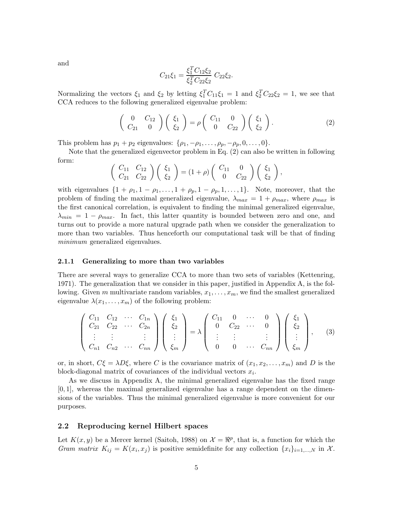and

$$
C_{21}\xi_1 = \frac{\xi_1^T C_{12}\xi_2}{\xi_2^T C_{22}\xi_2} C_{22}\xi_2.
$$

Normalizing the vectors  $\xi_1$  and  $\xi_2$  by letting  $\xi_1^T C_{11} \xi_1 = 1$  and  $\xi_2^T C_{22} \xi_2 = 1$ , we see that CCA reduces to the following generalized eigenvalue problem:

$$
\begin{pmatrix} 0 & C_{12} \\ C_{21} & 0 \end{pmatrix} \begin{pmatrix} \xi_1 \\ \xi_2 \end{pmatrix} = \rho \begin{pmatrix} C_{11} & 0 \\ 0 & C_{22} \end{pmatrix} \begin{pmatrix} \xi_1 \\ \xi_2 \end{pmatrix}.
$$
 (2)

This problem has  $p_1 + p_2$  eigenvalues:  $\{\rho_1, -\rho_1, \ldots, \rho_p, -\rho_p, 0, \ldots, 0\}.$ 

Note that the generalized eigenvector problem in Eq. (2) can also be written in following form:

$$
\left(\begin{array}{cc} C_{11} & C_{12} \\ C_{21} & C_{22} \end{array}\right) \left(\begin{array}{c} \xi_1 \\ \xi_2 \end{array}\right) = (1+\rho) \left(\begin{array}{cc} C_{11} & 0 \\ 0 & C_{22} \end{array}\right) \left(\begin{array}{c} \xi_1 \\ \xi_2 \end{array}\right),
$$

with eigenvalues  $\{1 + \rho_1, 1 - \rho_1, \ldots, 1 + \rho_p, 1 - \rho_p, 1, \ldots, 1\}$ . Note, moreover, that the problem of finding the maximal generalized eigenvalue,  $\lambda_{max} = 1 + \rho_{max}$ , where  $\rho_{max}$  is the first canonical correlation, is equivalent to finding the minimal generalized eigenvalue,  $\lambda_{min} = 1 - \rho_{max}$ . In fact, this latter quantity is bounded between zero and one, and turns out to provide a more natural upgrade path when we consider the generalization to more than two variables. Thus henceforth our computational task will be that of finding *minimum* generalized eigenvalues.

#### **2.1.1 Generalizing to more than two variables**

There are several ways to generalize CCA to more than two sets of variables (Kettenring, 1971). The generalization that we consider in this paper, justified in Appendix A, is the following. Given m multivariate random variables,  $x_1, \ldots, x_m$ , we find the smallest generalized eigenvalue  $\lambda(x_1,\ldots,x_m)$  of the following problem:

$$
\begin{pmatrix}\nC_{11} & C_{12} & \cdots & C_{1n} \\
C_{21} & C_{22} & \cdots & C_{2n} \\
\vdots & \vdots & & \vdots \\
C_{n1} & C_{n2} & \cdots & C_{nn}\n\end{pmatrix}\n\begin{pmatrix}\n\xi_1 \\
\xi_2 \\
\vdots \\
\xi_m\n\end{pmatrix} = \lambda \begin{pmatrix}\nC_{11} & 0 & \cdots & 0 \\
0 & C_{22} & \cdots & 0 \\
\vdots & \vdots & & \vdots \\
0 & 0 & \cdots & C_{nn}\n\end{pmatrix}\n\begin{pmatrix}\n\xi_1 \\
\xi_2 \\
\vdots \\
\xi_m\n\end{pmatrix},
$$
\n(3)

or, in short,  $C\xi = \lambda D\xi$ , where C is the covariance matrix of  $(x_1, x_2, \ldots, x_m)$  and D is the block-diagonal matrix of covariances of the individual vectors  $x_i$ .

As we discuss in Appendix A, the minimal generalized eigenvalue has the fixed range [0, 1], whereas the maximal generalized eigenvalue has a range dependent on the dimensions of the variables. Thus the minimal generalized eigenvalue is more convenient for our purposes.

### **2.2 Reproducing kernel Hilbert spaces**

Let  $K(x, y)$  be a Mercer kernel (Saitoh, 1988) on  $\mathcal{X} = \mathbb{R}^p$ , that is, a function for which the *Gram matrix*  $K_{ij} = K(x_i, x_j)$  is positive semidefinite for any collection  $\{x_i\}_{i=1,\dots,N}$  in X.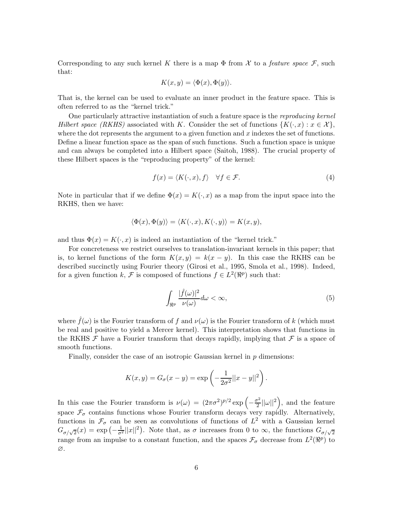Corresponding to any such kernel K there is a map  $\Phi$  from X to a *feature space* F, such that:

$$
K(x, y) = \langle \Phi(x), \Phi(y) \rangle.
$$

That is, the kernel can be used to evaluate an inner product in the feature space. This is often referred to as the "kernel trick."

One particularly attractive instantiation of such a feature space is the *reproducing kernel Hilbert space (RKHS)* associated with K. Consider the set of functions  $\{K(\cdot, x) : x \in \mathcal{X}\}\,$ where the dot represents the argument to a given function and  $x$  indexes the set of functions. Define a linear function space as the span of such functions. Such a function space is unique and can always be completed into a Hilbert space (Saitoh, 1988). The crucial property of these Hilbert spaces is the "reproducing property" of the kernel:

$$
f(x) = \langle K(\cdot, x), f \rangle \quad \forall f \in \mathcal{F}.\tag{4}
$$

Note in particular that if we define  $\Phi(x) = K(\cdot, x)$  as a map from the input space into the RKHS, then we have:

$$
\langle \Phi(x), \Phi(y) \rangle = \langle K(\cdot, x), K(\cdot, y) \rangle = K(x, y),
$$

and thus  $\Phi(x) = K(\cdot, x)$  is indeed an instantiation of the "kernel trick."

For concreteness we restrict ourselves to translation-invariant kernels in this paper; that is, to kernel functions of the form  $K(x, y) = k(x - y)$ . In this case the RKHS can be described succinctly using Fourier theory (Girosi et al., 1995, Smola et al., 1998). Indeed, for a given function k, F is composed of functions  $f \in L^2(\mathbb{R}^p)$  such that:

$$
\int_{\Re^p} \frac{|\hat{f}(\omega)|^2}{\nu(\omega)} d\omega < \infty,\tag{5}
$$

where  $\hat{f}(\omega)$  is the Fourier transform of f and  $\nu(\omega)$  is the Fourier transform of k (which must be real and positive to yield a Mercer kernel). This interpretation shows that functions in the RKHS  $\mathcal F$  have a Fourier transform that decays rapidly, implying that  $\mathcal F$  is a space of smooth functions.

Finally, consider the case of an isotropic Gaussian kernel in  $p$  dimensions:

$$
K(x,y) = G_{\sigma}(x-y) = \exp\left(-\frac{1}{2\sigma^2}||x-y||^2\right).
$$

In this case the Fourier transform is  $\nu(\omega) = (2\pi\sigma^2)^{p/2} \exp\left(-\frac{\sigma^2}{2}||\omega||^2\right)$ , and the feature space  $\mathcal{F}_{\sigma}$  contains functions whose Fourier transform decays very rapidly. Alternatively, functions in  $\mathcal{F}_{\sigma}$  can be seen as convolutions of functions of  $L^2$  with a Gaussian kernel  $G_{\sigma/\sqrt{2}}(x) = \exp\left(-\frac{1}{\sigma^2}||x||^2\right)$ . Note that, as  $\sigma$  increases from 0 to  $\infty$ , the functions  $G_{\sigma/\sqrt{2}}$ range from an impulse to a constant function, and the spaces  $\mathcal{F}_{\sigma}$  decrease from  $L^2(\mathbb{R}^p)$  to ∅.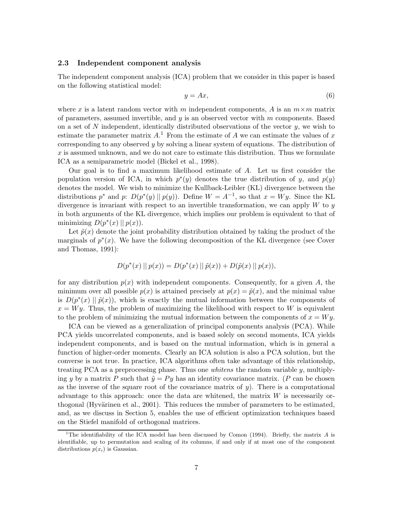#### **2.3 Independent component analysis**

The independent component analysis (ICA) problem that we consider in this paper is based on the following statistical model:

$$
y = Ax,\tag{6}
$$

where x is a latent random vector with m independent components, A is an  $m \times m$  matrix of parameters, assumed invertible, and  $y$  is an observed vector with  $m$  components. Based on a set of N independent, identically distributed observations of the vector  $y$ , we wish to estimate the parameter matrix  $A$ <sup>1</sup>. From the estimate of A we can estimate the values of x corresponding to any observed y by solving a linear system of equations. The distribution of  $x$  is assumed unknown, and we do not care to estimate this distribution. Thus we formulate ICA as a semiparametric model (Bickel et al., 1998).

Our goal is to find a maximum likelihood estimate of A. Let us first consider the population version of ICA, in which  $p^*(y)$  denotes the true distribution of y, and  $p(y)$ denotes the model. We wish to minimize the Kullback-Leibler (KL) divergence between the distributions p<sup>\*</sup> and p:  $D(p^*(y) || p(y))$ . Define  $W = A^{-1}$ , so that  $x = Wy$ . Since the KL divergence is invariant with respect to an invertible transformation, we can apply  $W$  to  $y$ in both arguments of the KL divergence, which implies our problem is equivalent to that of minimizing  $D(p^*(x) || p(x))$ .

Let  $\tilde{p}(x)$  denote the joint probability distribution obtained by taking the product of the marginals of  $p^*(x)$ . We have the following decomposition of the KL divergence (see Cover and Thomas, 1991):

$$
D(p^*(x) \| p(x)) = D(p^*(x) \| \tilde{p}(x)) + D(\tilde{p}(x) \| p(x)),
$$

for any distribution  $p(x)$  with independent components. Consequently, for a given A, the minimum over all possible  $p(x)$  is attained precisely at  $p(x)=\tilde{p}(x)$ , and the minimal value is  $D(p^*(x) \mid \tilde{p}(x))$ , which is exactly the mutual information between the components of  $x = Wy$ . Thus, the problem of maximizing the likelihood with respect to W is equivalent to the problem of minimizing the mutual information between the components of  $x = Wy$ .

ICA can be viewed as a generalization of principal components analysis (PCA). While PCA yields uncorrelated components, and is based solely on second moments, ICA yields independent components, and is based on the mutual information, which is in general a function of higher-order moments. Clearly an ICA solution is also a PCA solution, but the converse is not true. In practice, ICA algorithms often take advantage of this relationship, treating PCA as a preprocessing phase. Thus one *whitens* the random variable y, multiplying y by a matrix P such that  $\tilde{y} = Py$  has an identity covariance matrix. (P can be chosen as the inverse of the square root of the covariance matrix of  $y$ ). There is a computational advantage to this approach: once the data are whitened, the matrix  $W$  is necessarily orthogonal (Hyvärinen et al., 2001). This reduces the number of parameters to be estimated, and, as we discuss in Section 5, enables the use of efficient optimization techniques based on the Stiefel manifold of orthogonal matrices.

<sup>&</sup>lt;sup>1</sup>The identifiability of the ICA model has been discussed by Comon (1994). Briefly, the matrix A is identifiable, up to permutation and scaling of its columns, if and only if at most one of the component distributions  $p(x_i)$  is Gaussian.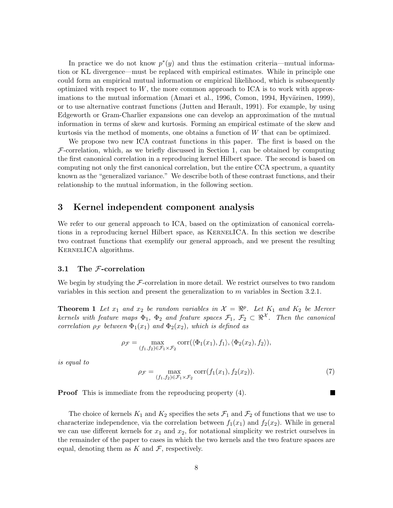In practice we do not know  $p^*(y)$  and thus the estimation criteria—mutual information or KL divergence—must be replaced with empirical estimates. While in principle one could form an empirical mutual information or empirical likelihood, which is subsequently optimized with respect to  $W$ , the more common approach to ICA is to work with approximations to the mutual information (Amari et al., 1996, Comon, 1994, Hyvärinen, 1999), or to use alternative contrast functions (Jutten and Herault, 1991). For example, by using Edgeworth or Gram-Charlier expansions one can develop an approximation of the mutual information in terms of skew and kurtosis. Forming an empirical estimate of the skew and kurtosis via the method of moments, one obtains a function of W that can be optimized.

We propose two new ICA contrast functions in this paper. The first is based on the  $\mathcal F$ -correlation, which, as we briefly discussed in Section 1, can be obtained by computing the first canonical correlation in a reproducing kernel Hilbert space. The second is based on computing not only the first canonical correlation, but the entire CCA spectrum, a quantity known as the "generalized variance." We describe both of these contrast functions, and their relationship to the mutual information, in the following section.

### **3 Kernel independent component analysis**

We refer to our general approach to ICA, based on the optimization of canonical correlations in a reproducing kernel Hilbert space, as KERNELICA. In this section we describe two contrast functions that exemplify our general approach, and we present the resulting KERNELICA algorithms.

#### **3.1 The** F**-correlation**

We begin by studying the  $F$ -correlation in more detail. We restrict ourselves to two random variables in this section and present the generalization to  $m$  variables in Section 3.2.1.

**Theorem 1** Let  $x_1$  and  $x_2$  be random variables in  $\mathcal{X} = \mathbb{R}^p$ . Let  $K_1$  and  $K_2$  be Mercer *kernels with feature maps*  $\Phi_1$ ,  $\Phi_2$  *and feature spaces*  $\mathcal{F}_1$ ,  $\mathcal{F}_2 \subset \mathbb{R}^{\mathcal{X}}$ *. Then the canonical correlation*  $\rho_{\mathcal{F}}$  *between*  $\Phi_1(x_1)$  *and*  $\Phi_2(x_2)$ *, which is defined as* 

$$
\rho_{\mathcal{F}} = \max_{(f_1, f_2) \in \mathcal{F}_1 \times \mathcal{F}_2} \text{corr}(\langle \Phi_1(x_1), f_1 \rangle, \langle \Phi_2(x_2), f_2 \rangle),
$$

*is equal to*

$$
\rho_{\mathcal{F}} = \max_{(f_1, f_2) \in \mathcal{F}_1 \times \mathcal{F}_2} \text{corr}(f_1(x_1), f_2(x_2)).
$$
\n(7)

П

**Proof** This is immediate from the reproducing property  $(4)$ .

The choice of kernels  $K_1$  and  $K_2$  specifies the sets  $\mathcal{F}_1$  and  $\mathcal{F}_2$  of functions that we use to characterize independence, via the correlation between  $f_1(x_1)$  and  $f_2(x_2)$ . While in general we can use different kernels for  $x_1$  and  $x_2$ , for notational simplicity we restrict ourselves in the remainder of the paper to cases in which the two kernels and the two feature spaces are equal, denoting them as K and  $\mathcal F$ , respectively.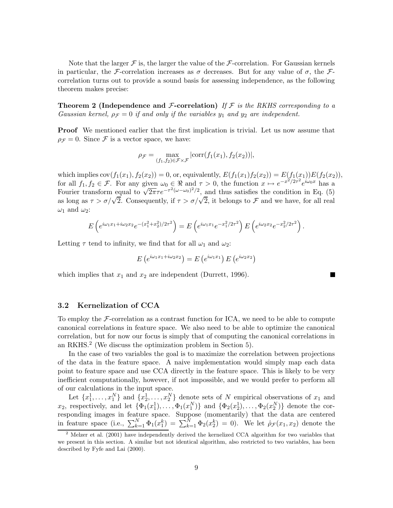Note that the larger  $\mathcal F$  is, the larger the value of the  $\mathcal F$ -correlation. For Gaussian kernels in particular, the F-correlation increases as  $\sigma$  decreases. But for any value of  $\sigma$ , the Fcorrelation turns out to provide a sound basis for assessing independence, as the following theorem makes precise:

**Theorem 2 (Independence and** F**-correlation)** *If* F *is the RKHS corresponding to a Gaussian kernel,*  $\rho_{\mathcal{F}} = 0$  *if and only if the variables*  $y_1$  *and*  $y_2$  *are independent.* 

**Proof** We mentioned earlier that the first implication is trivial. Let us now assume that  $\rho_{\mathcal{F}} = 0$ . Since  $\mathcal F$  is a vector space, we have:

$$
\rho_{\mathcal{F}} = \max_{(f_1, f_2) \in \mathcal{F} \times \mathcal{F}} |\text{corr}(f_1(x_1), f_2(x_2))|,
$$

which implies  $cov(f_1(x_1), f_2(x_2)) = 0$ , or, equivalently,  $E(f_1(x_1)f_2(x_2)) = E(f_1(x_1))E(f_2(x_2))$ , for all  $f_1, f_2 \in \mathcal{F}$ . For any given  $\omega_0 \in \Re$  and  $\tau > 0$ , the function  $x \mapsto e^{-x^2/2\tau^2} e^{i\omega_0 x}$  has a Fourier transform equal to  $\sqrt{2\pi}\tau e^{-\tau^2(\omega-\omega_0)^2/2}$ , and thus satisfies the condition in Eq. (5) as long as  $\tau > \sigma/\sqrt{2}$ . Consequently, if  $\tau > \sigma/\sqrt{2}$ , it belongs to F and we have, for all real  $\omega_1$  and  $\omega_2$ :

$$
E\left(e^{i\omega_1x_1+i\omega_2x_2}e^{-(x_1^2+x_2^2)/2\tau^2}\right) = E\left(e^{i\omega_1x_1}e^{-x_1^2/2\tau^2}\right)E\left(e^{i\omega_2x_2}e^{-x_2^2/2\tau^2}\right).
$$

Letting  $\tau$  tend to infinity, we find that for all  $\omega_1$  and  $\omega_2$ :

$$
E\left(e^{i\omega_1 x_1 + i\omega_2 x_2}\right) = E\left(e^{i\omega_1 x_1}\right) E\left(e^{i\omega_2 x_2}\right)
$$

which implies that  $x_1$  and  $x_2$  are independent (Durrett, 1996).

### **3.2 Kernelization of CCA**

To employ the  $\mathcal F$ -correlation as a contrast function for ICA, we need to be able to compute canonical correlations in feature space. We also need to be able to optimize the canonical correlation, but for now our focus is simply that of computing the canonical correlations in an RKHS.<sup>2</sup> (We discuss the optimization problem in Section 5).

In the case of two variables the goal is to maximize the correlation between projections of the data in the feature space. A naive implementation would simply map each data point to feature space and use CCA directly in the feature space. This is likely to be very inefficient computationally, however, if not impossible, and we would prefer to perform all of our calculations in the input space.

Let  $\{x_1^1, \ldots, x_1^N\}$  and  $\{x_2^1, \ldots, x_2^N\}$  denote sets of N empirical observations of  $x_1$  and respectively and let  $\{\Phi_1(x^1), \ldots, \Phi_k(x^N)\}$  and  $\{\Phi_2(x^1), \ldots, \Phi_k(x^N)\}$  denote the correctively  $x_2$ , respectively, and let  $\{\Phi_1(x_1^1), \ldots, \Phi_1(x_1^N)\}\$  and  $\{\Phi_2(x_2^1), \ldots, \Phi_2(x_2^N)\}\$  denote the corresponding images in feature space. Suppose (momentarily) that the data are centered in feature space (i.e.,  $\sum_{k=1}^{N} \Phi_1(x_1^k) = \sum_{k=1}^{N} \Phi_2(x_2^k) = 0$ ). We let  $\rho_{\mathcal{F}}(x_1, x_2)$  denote the

<sup>&</sup>lt;sup>2</sup> Melzer et al. (2001) have independently derived the kernelized CCA algorithm for two variables that we present in this section. A similar but not identical algorithm, also restricted to two variables, has been described by Fyfe and Lai (2000).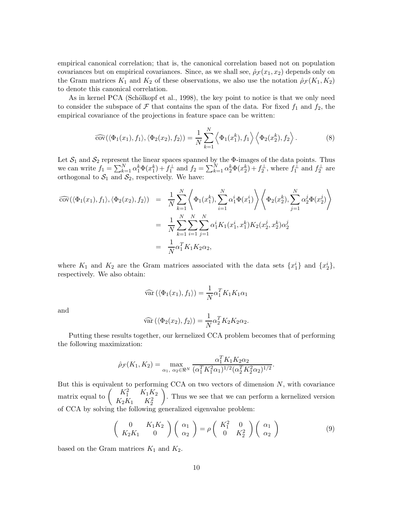empirical canonical correlation; that is, the canonical correlation based not on population covariances but on empirical covariances. Since, as we shall see,  $\hat{\rho}_{\mathcal{F}}(x_1, x_2)$  depends only on the Gram matrices  $K_1$  and  $K_2$  of these observations, we also use the notation  $\hat{\rho}_{\mathcal{F}}(K_1, K_2)$ to denote this canonical correlation.

As in kernel PCA (Schölkopf et al., 1998), the key point to notice is that we only need to consider the subspace of  $\mathcal F$  that contains the span of the data. For fixed  $f_1$  and  $f_2$ , the empirical covariance of the projections in feature space can be written:

$$
\widehat{\text{cov}}(\langle \Phi_1(x_1), f_1 \rangle, \langle \Phi_2(x_2), f_2 \rangle) = \frac{1}{N} \sum_{k=1}^N \left\langle \Phi_1(x_1^k), f_1 \right\rangle \left\langle \Phi_2(x_2^k), f_2 \right\rangle. \tag{8}
$$

Let  $S_1$  and  $S_2$  represent the linear spaces spanned by the  $\Phi$ -images of the data points. Thus  $\mathcal{L}_2 = \sum_{k=1}^{N} e^{k\Phi(x^k)} + \mathcal{L}_1 + \mathcal{L}_2 = \sum_{k=1}^{N} e^{k\Phi(x^k)} + \mathcal{L}_2 + \mathcal{L}_3$ we can write  $f_1 = \sum_{k=1}^N \alpha_1^k \Phi(x_1^k) + f_1^{\perp}$  and  $f_2 = \sum_{k=1}^N \alpha_2^k \Phi(x_2^k) + f_2^{\perp}$ , where  $f_1^{\perp}$  and  $f_2^{\perp}$  are<br>orthogonal to  $S_2$  and  $S_3$  respectively. We have: orthogonal to  $S_1$  and  $S_2$ , respectively. We have:

$$
\begin{aligned}\n\widehat{\text{cov}}(\langle \Phi_1(x_1), f_1 \rangle, \langle \Phi_2(x_2), f_2 \rangle) &= \frac{1}{N} \sum_{k=1}^N \left\langle \Phi_1(x_1^k), \sum_{i=1}^N \alpha_1^i \Phi(x_1^i) \right\rangle \left\langle \Phi_2(x_2^k), \sum_{j=1}^N \alpha_2^j \Phi(x_2^j) \right\rangle \\
&= \frac{1}{N} \sum_{k=1}^N \sum_{i=1}^N \sum_{j=1}^N \alpha_1^i K_1(x_1^i, x_1^k) K_2(x_2^j, x_2^k) \alpha_2^j \\
&= \frac{1}{N} \alpha_1^T K_1 K_2 \alpha_2,\n\end{aligned}
$$

where  $K_1$  and  $K_2$  are the Gram matrices associated with the data sets  $\{x_1^i\}$  and  $\{x_2^i\}$ , respectively. We also obtain:

$$
\widehat{\text{var}}\left(\langle \Phi_1(x_1), f_1 \rangle\right) = \frac{1}{N} \alpha_1^T K_1 K_1 \alpha_1
$$

and

$$
\widehat{\text{var}}\left(\langle \Phi_2(x_2), f_2 \rangle\right) = \frac{1}{N} \alpha_2^T K_2 K_2 \alpha_2.
$$

Putting these results together, our kernelized CCA problem becomes that of performing the following maximization:

$$
\hat{\rho}_{\mathcal{F}}(K_1, K_2) = \max_{\alpha_1, \alpha_2 \in \mathbb{R}^N} \frac{\alpha_1^T K_1 K_2 \alpha_2}{(\alpha_1^T K_1^2 \alpha_1)^{1/2} (\alpha_2^T K_2^2 \alpha_2)^{1/2}}.
$$

But this is equivalent to performing  $CCA$  on two vectors of dimension  $N$ , with covariance matrix equal to  $\begin{pmatrix} K_1^2 & K_1K_2 \ K_2 & K_1 \end{pmatrix}$  $K_2K_1$   $K_2^2$ <br>the following 2 of CCA by solving the following generalized eigenvalue problem: . Thus we see that we can perform a kernelized version

$$
\begin{pmatrix} 0 & K_1K_2 \ K_2K_1 & 0 \end{pmatrix} \begin{pmatrix} \alpha_1 \\ \alpha_2 \end{pmatrix} = \rho \begin{pmatrix} K_1^2 & 0 \\ 0 & K_2^2 \end{pmatrix} \begin{pmatrix} \alpha_1 \\ \alpha_2 \end{pmatrix}
$$
 (9)

based on the Gram matrices  $K_1$  and  $K_2$ .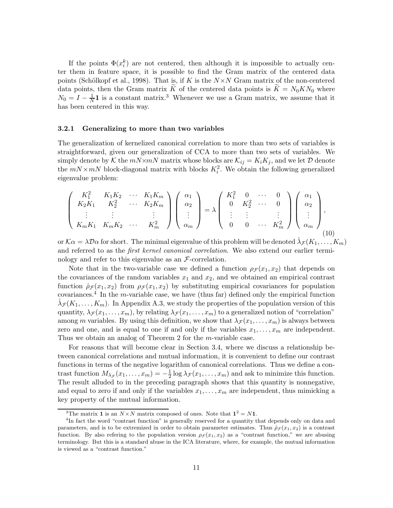If the points  $\Phi(x_i^k)$  are not centered, then although it is impossible to actually center them in feature space, it is possible to find the Gram matrix of the centered data points (Schölkopf et al., 1998). That is, if K is the  $N \times N$  Gram matrix of the non-centered data points, then the Gram matrix  $\tilde{K}$  of the centered data points is  $\tilde{K} = N_0 K N_0$  where  $N_0 = I - \frac{1}{N}$ **1** is a constant matrix.<sup>3</sup> Whenever we use a Gram matrix, we assume that it has been centered in this way.

#### **3.2.1 Generalizing to more than two variables**

The generalization of kernelized canonical correlation to more than two sets of variables is straightforward, given our generalization of CCA to more than two sets of variables. We simply denote by K the  $mN \times mN$  matrix whose blocks are  $\mathcal{K}_{ij} = K_i K_j$ , and we let D denote the  $mN \times mN$  block-diagonal matrix with blocks  $K_i^2$ . We obtain the following generalized eigenvalue problem:

$$
\begin{pmatrix}\nK_1^2 & K_1K_2 & \cdots & K_1K_m \\
K_2K_1 & K_2^2 & \cdots & K_2K_m \\
\vdots & \vdots & & \vdots \\
K_mK_1 & K_mK_2 & \cdots & K_m^2\n\end{pmatrix}\n\begin{pmatrix}\n\alpha_1 \\
\alpha_2 \\
\vdots \\
\alpha_m\n\end{pmatrix} = \lambda \begin{pmatrix}\nK_1^2 & 0 & \cdots & 0 \\
0 & K_2^2 & \cdots & 0 \\
\vdots & \vdots & & \vdots \\
0 & 0 & \cdots & K_m^2\n\end{pmatrix}\n\begin{pmatrix}\n\alpha_1 \\
\alpha_2 \\
\vdots \\
\alpha_m\n\end{pmatrix},
$$
\n(10)

or  $\mathcal{K}\alpha = \lambda \mathcal{D}\alpha$  for short. The minimal eigenvalue of this problem will be denoted  $\lambda_{\mathcal{F}}(K_1,\ldots,K_m)$ and referred to as the *first kernel canonical correlation*. We also extend our earlier terminology and refer to this eigenvalue as an  $\mathcal{F}\text{-correlation}.$ 

Note that in the two-variable case we defined a function  $\rho_{\mathcal{F}}(x_1, x_2)$  that depends on the covariances of the random variables  $x_1$  and  $x_2$ , and we obtained an empirical contrast function  $\hat{\rho}_{\mathcal{F}}(x_1, x_2)$  from  $\rho_{\mathcal{F}}(x_1, x_2)$  by substituting empirical covariances for population covariances.<sup>4</sup> In the *m*-variable case, we have (thus far) defined only the empirical function  $\hat{\lambda}_{\mathcal{F}}(K_1,\ldots,K_m)$ . In Appendix A.3, we study the properties of the population version of this quantity,  $\lambda_{\mathcal{F}}(x_1,\ldots,x_m)$ , by relating  $\lambda_{\mathcal{F}}(x_1,\ldots,x_m)$  to a generalized notion of "correlation" among m variables. By using this definition, we show that  $\lambda_{\mathcal{F}}(x_1,\ldots,x_m)$  is always between zero and one, and is equal to one if and only if the variables  $x_1, \ldots, x_m$  are independent. Thus we obtain an analog of Theorem 2 for the *m*-variable case.

For reasons that will become clear in Section 3.4, where we discuss a relationship between canonical correlations and mutual information, it is convenient to define our contrast functions in terms of the negative logarithm of canonical correlations. Thus we define a contrast function  $M_{\lambda_{\mathcal{F}}}(x_1,\ldots,x_m) = -\frac{1}{2} \log \lambda_{\mathcal{F}}(x_1,\ldots,x_m)$  and ask to minimize this function.<br>The result alluded to in the preceding paragraph shows that this quantity is nonnegative The result alluded to in the preceding paragraph shows that this quantity is nonnegative, and equal to zero if and only if the variables  $x_1, \ldots, x_m$  are independent, thus mimicking a key property of the mutual information.

<sup>&</sup>lt;sup>3</sup>The matrix **1** is an  $N \times N$  matrix composed of ones. Note that  $\mathbf{1}^2 = N \mathbf{1}$ .<br><sup>4</sup>In fact the word "contrast function" is generally reserved for a quantity that depends only on data and parameters, and is to be extremized in order to obtain parameter estimates. Thus  $\hat{p}_{\mathcal{F}}(x_1, x_2)$  is a contrast function. By also refering to the population version  $\rho_{\mathcal{F}}(x_1, x_2)$  as a "contrast function," we are abusing terminology. But this is a standard abuse in the ICA literature, where, for example, the mutual information is viewed as a "contrast function."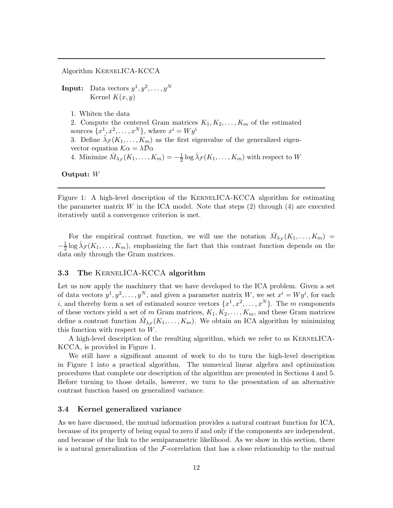Algorithm KernelICA-KCCA

**Input:** Data vectors  $y^1, y^2, \ldots, y^N$ Kernel  $K(x, y)$ 

1. Whiten the data

2. Compute the centered Gram matrices  $K_1, K_2, \ldots, K_m$  of the estimated sources  $\{x^1, x^2, \ldots, x^N\}$ , where  $x^i = Wy^i$ 

3. Define  $\lambda_{\mathcal{F}}(K_1,\ldots,K_m)$  as the first eigenvalue of the generalized eigenvector equation  $K\alpha = \lambda \mathcal{D}\alpha$ 

4. Minimize  $\hat{M}_{\lambda_{\mathcal{F}}}(K_1,\ldots,K_m) = -\frac{1}{2}\log \hat{\lambda}_{\mathcal{F}}(K_1,\ldots,K_m)$  with respect to W

**Output:** W

Figure 1: A high-level description of the KERNELICA-KCCA algorithm for estimating the parameter matrix  $W$  in the ICA model. Note that steps  $(2)$  through  $(4)$  are executed iteratively until a convergence criterion is met.

For the empirical contrast function, we will use the notation  $\hat{M}_{\lambda\tau}(K_1,\ldots,K_m)$  =  $-\frac{1}{2}\log \hat{\lambda}_{\mathcal{F}}(K_1,\ldots,K_m)$ , emphasizing the fact that this contrast function depends on the data only through the Gram matrices data only through the Gram matrices.

### **3.3 The** KernelICA-KCCA **algorithm**

Let us now apply the machinery that we have developed to the ICA problem. Given a set of data vectors  $y^1, y^2, \ldots, y^N$ , and given a parameter matrix W, we set  $x^i = Wy^i$ , for each i, and thereby form a set of estimated source vectors  $\{x^1, x^2, \ldots, x^N\}$ . The m components of these vectors yield a set of m Gram matrices,  $K_1, K_2, \ldots, K_m$ , and these Gram matrices define a contrast function  $\hat{M}_{\lambda_{\mathcal{F}}}(K_1,\ldots,K_m)$ . We obtain an ICA algorithm by minimizing this function with respect to  $W$ .

A high-level description of the resulting algorithm, which we refer to as KERNELICA-KCCA, is provided in Figure 1.

We still have a significant amount of work to do to turn the high-level description in Figure 1 into a practical algorithm. The numerical linear algebra and optimization procedures that complete our description of the algorithm are presented in Sections 4 and 5. Before turning to those details, however, we turn to the presentation of an alternative contrast function based on generalized variance.

#### **3.4 Kernel generalized variance**

As we have discussed, the mutual information provides a natural contrast function for ICA, because of its property of being equal to zero if and only if the components are independent, and because of the link to the semiparametric likelihood. As we show in this section, there is a natural generalization of the  $\mathcal F$ -correlation that has a close relationship to the mutual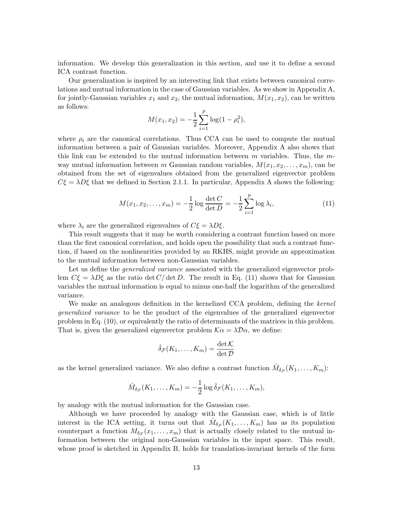information. We develop this generalization in this section, and use it to define a second ICA contrast function.

Our generalization is inspired by an interesting link that exists between canonical correlations and mutual information in the case of Gaussian variables. As we show in Appendix A, for jointly-Gaussian variables  $x_1$  and  $x_2$ , the mutual information,  $M(x_1, x_2)$ , can be written as follows:  $\overline{p}$ 

$$
M(x_1, x_2) = -\frac{1}{2} \sum_{i=1}^{p} \log(1 - \rho_i^2),
$$

where  $\rho_i$  are the canonical correlations. Thus CCA can be used to compute the mutual information between a pair of Gaussian variables. Moreover, Appendix A also shows that this link can be extended to the mutual information between  $m$  variables. Thus, the  $m$ way mutual information between m Gaussian random variables,  $M(x_1, x_2, \ldots, x_m)$ , can be obtained from the set of eigenvalues obtained from the generalized eigenvector problem  $C\xi = \lambda D\xi$  that we defined in Section 2.1.1. In particular, Appendix A shows the following:

$$
M(x_1, x_2, \dots, x_m) = -\frac{1}{2} \log \frac{\det C}{\det D} = -\frac{1}{2} \sum_{i=1}^p \log \lambda_i,
$$
 (11)

where  $\lambda_i$  are the generalized eigenvalues of  $C\xi = \lambda D\xi$ .

This result suggests that it may be worth considering a contrast function based on more than the first canonical correlation, and holds open the possibility that such a contrast function, if based on the nonlinearities provided by an RKHS, might provide an approximation to the mutual information between non-Gaussian variables.

Let us define the *generalized variance* associated with the generalized eigenvector problem  $C\xi = \lambda D\xi$  as the ratio det  $C/\det D$ . The result in Eq. (11) shows that for Gaussian variables the mutual information is equal to minus one-half the logarithm of the generalized variance.

We make an analogous definition in the kernelized CCA problem, defining the *kernel generalized variance* to be the product of the eigenvalues of the generalized eigenvector problem in Eq. (10), or equivalently the ratio of determinants of the matrices in this problem. That is, given the generalized eigenvector problem  $\mathcal{K}\alpha = \lambda \mathcal{D}\alpha$ , we define:

$$
\hat{\delta}_{\mathcal{F}}(K_1,\ldots,K_m)=\frac{\det \mathcal{K}}{\det \mathcal{D}}
$$

as the kernel generalized variance. We also define a contrast function  $\tilde{M}_{\delta_{\mathcal{F}}}(K_1,\ldots,K_m)$ :

$$
\hat{M}_{\delta_{\mathcal{F}}}(K_1,\ldots,K_m)=-\frac{1}{2}\log\hat{\delta}_{\mathcal{F}}(K_1,\ldots,K_m),
$$

by analogy with the mutual information for the Gaussian case.

Although we have proceeded by analogy with the Gaussian case, which is of little interest in the ICA setting, it turns out that  $\hat{M}_{\delta_{\mathcal{F}}}(K_1,\ldots,K_m)$  has as its population counterpart a function  $M_{\delta_{\mathcal{F}}}(x_1,\ldots,x_m)$  that is actually closely related to the mutual information between the original non-Gaussian variables in the input space. This result, whose proof is sketched in Appendix B, holds for translation-invariant kernels of the form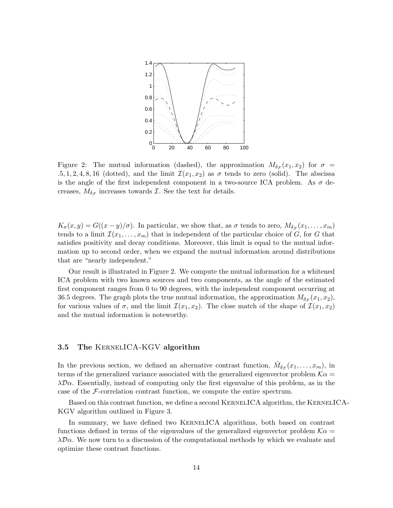

Figure 2: The mutual information (dashed), the approximation  $M_{\delta_{\mathcal{F}}}(x_1, x_2)$  for  $\sigma =$  $.5, 1, 2, 4, 8, 16$  (dotted), and the limit  $\mathcal{I}(x_1, x_2)$  as  $\sigma$  tends to zero (solid). The abscissa is the angle of the first independent component in a two-source ICA problem. As  $\sigma$  decreases,  $M_{\delta_{\mathcal{F}}}$  increases towards  $\mathcal{I}$ . See the text for details.

 $K_{\sigma}(x,y) = G((x-y)/\sigma)$ . In particular, we show that, as  $\sigma$  tends to zero,  $M_{\delta_{\mathcal{F}}}(x_1,\ldots,x_m)$ tends to a limit  $\mathcal{I}(x_1,\ldots,x_m)$  that is independent of the particular choice of G, for G that satisfies positivity and decay conditions. Moreover, this limit is equal to the mutual information up to second order, when we expand the mutual information around distributions that are "nearly independent."

Our result is illustrated in Figure 2. We compute the mutual information for a whitened ICA problem with two known sources and two components, as the angle of the estimated first component ranges from 0 to 90 degrees, with the independent component occurring at 36.5 degrees. The graph plots the true mutual information, the approximation  $M_{\delta_{\mathcal{F}}}(x_1, x_2)$ , for various values of  $\sigma$ , and the limit  $\mathcal{I}(x_1, x_2)$ . The close match of the shape of  $\mathcal{I}(x_1, x_2)$ and the mutual information is noteworthy.

### **3.5 The** KernelICA-KGV **algorithm**

In the previous section, we defined an alternative contrast function,  $M_{\delta_{\mathcal{F}}}(x_1,\ldots,x_m)$ , in terms of the generalized variance associated with the generalized eigenvector problem  $\mathcal{K}\alpha =$  $\lambda \mathcal{D} \alpha$ . Essentially, instead of computing only the first eigenvalue of this problem, as in the case of the  $F$ -correlation contrast function, we compute the entire spectrum.

Based on this contrast function, we define a second KERNELICA algorithm, the KERNELICA-KGV algorithm outlined in Figure 3.

In summary, we have defined two KERNELICA algorithms, both based on contrast functions defined in terms of the eigenvalues of the generalized eigenvector problem  $\mathcal{K}\alpha =$  $\lambda \mathcal{D}\alpha$ . We now turn to a discussion of the computational methods by which we evaluate and optimize these contrast functions.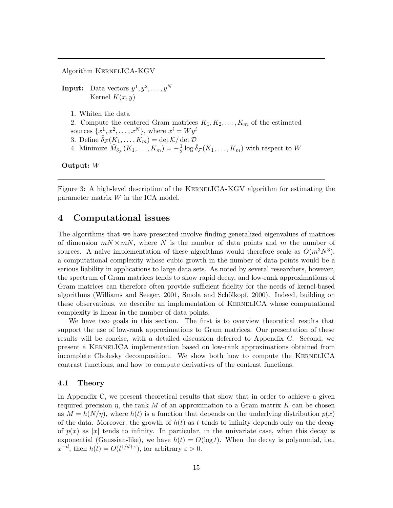Algorithm KernelICA-KGV

**Input:** Data vectors  $y^1, y^2, \ldots, y^N$ Kernel  $K(x, y)$ 

1. Whiten the data

2. Compute the centered Gram matrices  $K_1, K_2, \ldots, K_m$  of the estimated

sources  $\{x^1, x^2, \ldots, x^N\}$ , where  $x^i = Wy^i$ 

3. Define  $\hat{\delta}_{\mathcal{F}}(K_1,\ldots,K_m) = \det \mathcal{K}/\det \mathcal{D}$ 

4. Minimize  $\hat{M}_{\delta_{\mathcal{F}}}(K_1,\ldots,K_m) = -\frac{1}{2}\log \hat{\delta}_{\mathcal{F}}(K_1,\ldots,K_m)$  with respect to W

**Output:** W

Figure 3: A high-level description of the KERNELICA-KGV algorithm for estimating the parameter matrix W in the ICA model.

### **4 Computational issues**

The algorithms that we have presented involve finding generalized eigenvalues of matrices of dimension  $mN \times mN$ , where N is the number of data points and m the number of sources. A naive implementation of these algorithms would therefore scale as  $O(m^3N^3)$ , a computational complexity whose cubic growth in the number of data points would be a serious liability in applications to large data sets. As noted by several researchers, however, the spectrum of Gram matrices tends to show rapid decay, and low-rank approximations of Gram matrices can therefore often provide sufficient fidelity for the needs of kernel-based algorithms (Williams and Seeger, 2001, Smola and Schölkopf, 2000). Indeed, building on these observations, we describe an implementation of KERNELICA whose computational complexity is linear in the number of data points.

We have two goals in this section. The first is to overview theoretical results that support the use of low-rank approximations to Gram matrices. Our presentation of these results will be concise, with a detailed discussion deferred to Appendix C. Second, we present a KernelICA implementation based on low-rank approximations obtained from incomplete Cholesky decomposition. We show both how to compute the KERNELICA contrast functions, and how to compute derivatives of the contrast functions.

### **4.1 Theory**

In Appendix C, we present theoretical results that show that in order to achieve a given required precision  $\eta$ , the rank M of an approximation to a Gram matrix K can be chosen as  $M = h(N/\eta)$ , where  $h(t)$  is a function that depends on the underlying distribution  $p(x)$ of the data. Moreover, the growth of  $h(t)$  as t tends to infinity depends only on the decay of  $p(x)$  as |x| tends to infinity. In particular, in the univariate case, when this decay is exponential (Gaussian-like), we have  $h(t) = O(\log t)$ . When the decay is polynomial, i.e.,  $x^{-d}$ , then  $h(t) = O(t^{1/d+\varepsilon})$ , for arbitrary  $\varepsilon > 0$ .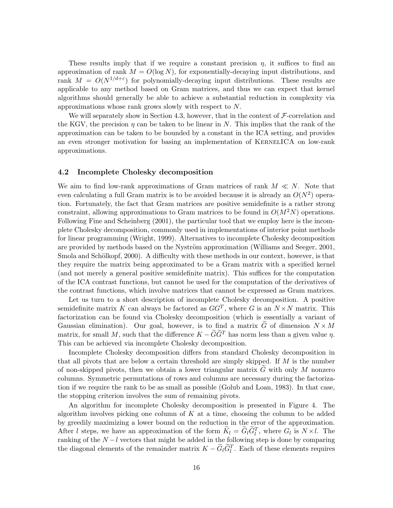These results imply that if we require a constant precision  $\eta$ , it suffices to find an approximation of rank  $M = O(\log N)$ , for exponentially-decaying input distributions, and rank  $M = O(N^{1/d+\epsilon})$  for polynomially-decaying input distributions. These results are applicable to any method based on Gram matrices, and thus we can expect that kernel algorithms should generally be able to achieve a substantial reduction in complexity via approximations whose rank grows slowly with respect to N.

We will separately show in Section 4.3, however, that in the context of  $\mathcal{F}\text{-correlation}$  and the KGV, the precision  $\eta$  can be taken to be linear in N. This implies that the rank of the approximation can be taken to be bounded by a constant in the ICA setting, and provides an even stronger motivation for basing an implementation of KERNELICA on low-rank approximations.

### **4.2 Incomplete Cholesky decomposition**

We aim to find low-rank approximations of Gram matrices of rank  $M \ll N$ . Note that even calculating a full Gram matrix is to be avoided because it is already an  $O(N^2)$  operation. Fortunately, the fact that Gram matrices are positive semidefinite is a rather strong constraint, allowing approximations to Gram matrices to be found in  $O(M^2N)$  operations. Following Fine and Scheinberg (2001), the particular tool that we employ here is the incomplete Cholesky decomposition, commonly used in implementations of interior point methods for linear programming (Wright, 1999). Alternatives to incomplete Cholesky decomposition are provided by methods based on the Nyström approximation (Williams and Seeger, 2001, Smola and Schölkopf, 2000). A difficulty with these methods in our context, however, is that they require the matrix being approximated to be a Gram matrix with a specified kernel (and not merely a general positive semidefinite matrix). This suffices for the computation of the ICA contrast functions, but cannot be used for the computation of the derivatives of the contrast functions, which involve matrices that cannot be expressed as Gram matrices.

Let us turn to a short description of incomplete Cholesky decomposition. A positive semidefinite matrix K can always be factored as  $GG<sup>T</sup>$ , where G is an  $N \times N$  matrix. This factorization can be found via Cholesky decomposition (which is essentially a variant of Gaussian elimination). Our goal, however, is to find a matrix  $\tilde{G}$  of dimension  $N \times M$ matrix, for small M, such that the difference  $K - \widetilde{G}\widetilde{G}^T$  has norm less than a given value  $\eta$ . This can be achieved via incomplete Cholesky decomposition.

Incomplete Cholesky decomposition differs from standard Cholesky decomposition in that all pivots that are below a certain threshold are simply skipped. If  $M$  is the number of non-skipped pivots, then we obtain a lower triangular matrix  $\tilde{G}$  with only M nonzero columns. Symmetric permutations of rows and columns are necessary during the factorization if we require the rank to be as small as possible (Golub and Loan, 1983). In that case, the stopping criterion involves the sum of remaining pivots.

An algorithm for incomplete Cholesky decomposition is presented in Figure 4. The algorithm involves picking one column of  $K$  at a time, choosing the column to be added by greedily maximizing a lower bound on the reduction in the error of the approximation. After l steps, we have an approximation of the form  $\widetilde{K}_l = \widetilde{G}_l \widetilde{G}_l^T$ , where  $G_l$  is  $N \times l$ . The ranking of the  $N - l$  vectors that might be added in the following step is done by comparing the diagonal elements of the remainder matrix  $K - \tilde{G}_l \tilde{G}_l^T$ . Each of these elements requires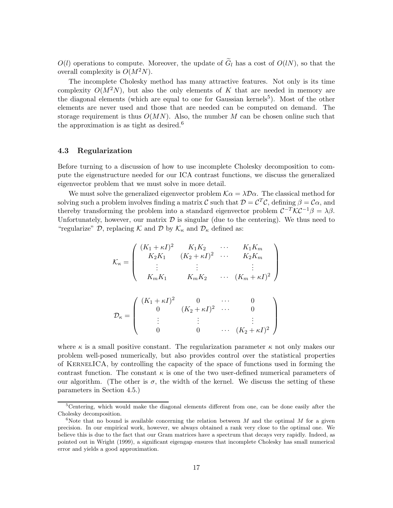$O(l)$  operations to compute. Moreover, the update of  $\tilde{G}_l$  has a cost of  $O(lN)$ , so that the overall complexity is  $O(M^2N)$ .

The incomplete Cholesky method has many attractive features. Not only is its time complexity  $O(M^2N)$ , but also the only elements of K that are needed in memory are the diagonal elements (which are equal to one for Gaussian kernels<sup>5</sup>). Most of the other elements are never used and those that are needed can be computed on demand. The storage requirement is thus  $O(MN)$ . Also, the number M can be chosen online such that the approximation is as tight as desired.<sup>6</sup>

#### **4.3 Regularization**

Before turning to a discussion of how to use incomplete Cholesky decomposition to compute the eigenstructure needed for our ICA contrast functions, we discuss the generalized eigenvector problem that we must solve in more detail.

We must solve the generalized eigenvector problem  $K\alpha = \lambda \mathcal{D}\alpha$ . The classical method for solving such a problem involves finding a matrix C such that  $\mathcal{D} = \mathcal{C}^T \mathcal{C}$ , defining  $\beta = \mathcal{C}\alpha$ , and thereby transforming the problem into a standard eigenvector problem  $C^{-T} \mathcal{K} C^{-1} \beta = \lambda \beta$ . Unfortunately, however, our matrix  $\mathcal D$  is singular (due to the centering). We thus need to "regularize"  $\mathcal{D}$ , replacing  $\mathcal{K}$  and  $\mathcal{D}$  by  $\mathcal{K}_{\kappa}$  and  $\mathcal{D}_{\kappa}$  defined as:

$$
\mathcal{K}_{\kappa} = \begin{pmatrix}\n(K_1 + \kappa I)^2 & K_1 K_2 & \cdots & K_1 K_m \\
K_2 K_1 & (K_2 + \kappa I)^2 & \cdots & K_2 K_m \\
\vdots & \vdots & & \vdots \\
K_m K_1 & K_m K_2 & \cdots & (K_m + \kappa I)^2\n\end{pmatrix}
$$
\n
$$
\mathcal{D}_{\kappa} = \begin{pmatrix}\n(K_1 + \kappa I)^2 & 0 & \cdots & 0 \\
0 & (K_2 + \kappa I)^2 & \cdots & 0 \\
\vdots & \vdots & & \vdots \\
0 & 0 & \cdots & (K_2 + \kappa I)^2\n\end{pmatrix}
$$

where  $\kappa$  is a small positive constant. The regularization parameter  $\kappa$  not only makes our problem well-posed numerically, but also provides control over the statistical properties of KernelICA, by controlling the capacity of the space of functions used in forming the contrast function. The constant  $\kappa$  is one of the two user-defined numerical parameters of our algorithm. (The other is  $\sigma$ , the width of the kernel. We discuss the setting of these parameters in Section 4.5.)

<sup>&</sup>lt;sup>5</sup>Centering, which would make the diagonal elements different from one, can be done easily after the Cholesky decomposition.

<sup>&</sup>lt;sup>6</sup>Note that no bound is available concerning the relation between M and the optimal M for a given precision. In our empirical work, however, we always obtained a rank very close to the optimal one. We believe this is due to the fact that our Gram matrices have a spectrum that decays very rapidly. Indeed, as pointed out in Wright (1999), a significant eigengap ensures that incomplete Cholesky has small numerical error and yields a good approximation.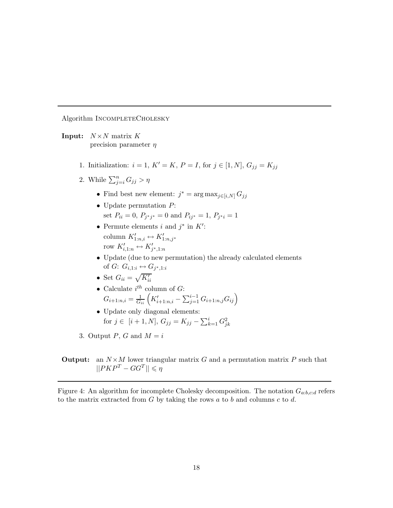Algorithm IncompleteCholesky

- **Input:**  $N \times N$  matrix K precision parameter  $\eta$ 
	- 1. Initialization:  $i = 1, K' = K, P = I$ , for  $j \in [1, N], G_{jj} = K_{jj}$
	- 2. While  $\sum_{j=i}^{n} G_{jj} > \eta$ 
		- Find best new element:  $j^* = \arg \max_{j \in [i,N]} G_{jj}$
		- Update permutation  $P$ : set  $P_{ii} = 0$ ,  $P_{j^*j^*} = 0$  and  $P_{ij^*} = 1$ ,  $P_{j^*i} = 1$
		- Permute elements i and  $j^*$  in  $K'$ : column  $K'_{1:n,i} \leftrightarrow K'_{1:n,j*}$ row  $K'_{i,1:n} \leftrightarrow K'_{j^*,1:n}$
		- Update (due to new permutation) the already calculated elements of G:  $G_{i,1:i} \leftrightarrow G_{j^*,1:i}$
		- Set  $G_{ii} = \sqrt{K'_{ii}}$
		- Calculate  $i^{th}$  column of  $G$ :  $G_{i+1:n,i} = \frac{1}{G_{ii}} \left( K'_{i+1:n,i} - \sum_{j=1}^{i-1} G_{i+1:n,j} G_{ij} \right)$
		- Update only diagonal elements: for  $j \in [i+1, N], G_{jj} = K_{jj} - \sum_{k=1}^{i} G_{jk}^2$
	- 3. Output  $P, G$  and  $M = i$

**Output:** an  $N \times M$  lower triangular matrix G and a permutation matrix P such that  $||PKP^{T} - GG^{T}|| \leqslant \eta$ 

Figure 4: An algorithm for incomplete Cholesky decomposition. The notation  $G_{a:b,c:d}$  refers to the matrix extracted from  $G$  by taking the rows  $a$  to  $b$  and columns  $c$  to  $d$ .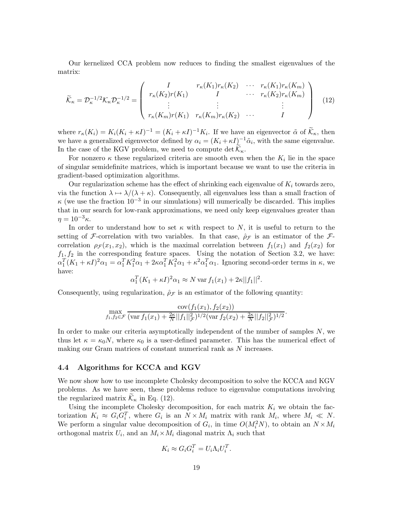Our kernelized CCA problem now reduces to finding the smallest eigenvalues of the matrix:

$$
\widetilde{\mathcal{K}}_{\kappa} = \mathcal{D}_{\kappa}^{-1/2} \mathcal{K}_{\kappa} \mathcal{D}_{\kappa}^{-1/2} = \begin{pmatrix} I & r_{\kappa}(K_1) r_{\kappa}(K_2) & \cdots & r_{\kappa}(K_1) r_{\kappa}(K_m) \\ r_{\kappa}(K_2) r(K_1) & I & \cdots & r_{\kappa}(K_2) r_{\kappa}(K_m) \\ \vdots & \vdots & & \vdots \\ r_{\kappa}(K_m) r(K_1) & r_{\kappa}(K_m) r_{\kappa}(K_2) & \cdots & I \end{pmatrix}
$$
(12)

where  $r_{\kappa}(K_i) = K_i(K_i + \kappa I)^{-1} = (K_i + \kappa I)^{-1}K_i$ . If we have an eigenvector  $\tilde{\alpha}$  of  $\tilde{\mathcal{K}}_{\kappa}$ , then we have a generalized eigenvector defined by  $\alpha_i = (K_i + \kappa I)^{-1} \tilde{\alpha}_i$ , with the same eigenvalue. In the case of the KGV problem, we need to compute  $\det \mathcal{K}_{\kappa}$ .

For nonzero  $\kappa$  these regularized criteria are smooth even when the  $K_i$  lie in the space of singular semidefinite matrices, which is important because we want to use the criteria in gradient-based optimization algorithms.

Our regularization scheme has the effect of shrinking each eigenvalue of  $K_i$  towards zero, via the function  $\lambda \mapsto \lambda/(\lambda + \kappa)$ . Consequently, all eigenvalues less than a small fraction of  $\kappa$  (we use the fraction 10<sup>-3</sup> in our simulations) will numerically be discarded. This implies that in our search for low-rank approximations, we need only keep eigenvalues greater than  $\eta = 10^{-3} \kappa$ .

In order to understand how to set  $\kappa$  with respect to N, it is useful to return to the setting of F-correlation with two variables. In that case,  $\rho_{\mathcal{F}}$  is an estimator of the Fcorrelation  $\rho_{\mathcal{F}}(x_1, x_2)$ , which is the maximal correlation between  $f_1(x_1)$  and  $f_2(x_2)$  for  $f_1, f_2$  in the corresponding feature spaces. Using the notation of Section 3.2, we have:  $\alpha_1^T (K_1 + \kappa I)^2 \alpha_1 = \alpha_1^T K_1^2 \alpha_1 + 2\kappa \alpha_1^T K_1^2 \alpha_1 + \kappa^2 \alpha_1^T \alpha_1$ . Ignoring second-order terms in  $\kappa$ , we have:

$$
\alpha_1^T (K_1 + \kappa I)^2 \alpha_1 \approx N \text{ var } f_1(x_1) + 2\kappa ||f_1||^2.
$$

Consequently, using regularization,  $\rho_F$  is an estimator of the following quantity:

$$
\max_{f_1,f_2 \in \mathcal{F}} \frac{\text{cov}(f_1(x_1), f_2(x_2))}{(\text{var } f_1(x_1) + \frac{2\kappa}{N} ||f_1||^2_{\mathcal{F}})^{1/2}(\text{var } f_2(x_2) + \frac{2\kappa}{N} ||f_2||^2_{\mathcal{F}})^{1/2}}.
$$

In order to make our criteria asymptotically independent of the number of samples  $N$ , we thus let  $\kappa = \kappa_0 N$ , where  $\kappa_0$  is a user-defined parameter. This has the numerical effect of making our Gram matrices of constant numerical rank as N increases.

### **4.4 Algorithms for KCCA and KGV**

We now show how to use incomplete Cholesky decomposition to solve the KCCA and KGV problems. As we have seen, these problems reduce to eigenvalue computations involving the regularized matrix  $\mathcal{K}_{\kappa}$  in Eq. (12).

Using the incomplete Cholesky decomposition, for each matrix  $K_i$  we obtain the factorization  $K_i \approx G_i G_i^T$ , where  $G_i$  is an  $N \times M_i$  matrix with rank  $M_i$ , where  $M_i \ll N$ . We perform a singular value decomposition of  $G_i$ , in time  $O(M_i^2N)$ , to obtain an  $N \times M_i$ orthogonal matrix  $U_i$ , and an  $M_i \times M_i$  diagonal matrix  $\Lambda_i$  such that

$$
K_i \approx G_i G_i^T = U_i \Lambda_i U_i^T.
$$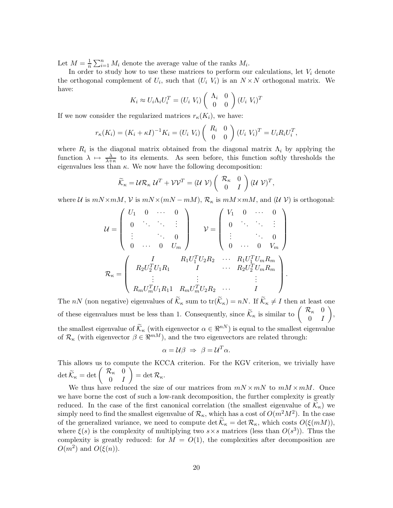Let  $M = \frac{1}{n} \sum_{i=1}^{n} M_i$  denote the average value of the ranks  $M_i$ .<br>In order to study how to use these matrices to perform our

In order to study how to use these matrices to perform our calculations, let  $V_i$  denote the orthogonal complement of  $U_i$ , such that  $(U_i V_i)$  is an  $N \times N$  orthogonal matrix. We have:

$$
K_i \approx U_i \Lambda_i U_i^T = (U_i \ V_i) \begin{pmatrix} \Lambda_i & 0 \\ 0 & 0 \end{pmatrix} (U_i \ V_i)^T
$$

If we now consider the regularized matrices  $r_{\kappa}(K_i)$ , we have:

$$
r_{\kappa}(K_i) = (K_i + \kappa I)^{-1} K_i = (U_i V_i) \begin{pmatrix} R_i & 0 \\ 0 & 0 \end{pmatrix} (U_i V_i)^T = U_i R_i U_i^T,
$$

where  $R_i$  is the diagonal matrix obtained from the diagonal matrix  $\Lambda_i$  by applying the function  $\lambda \mapsto \frac{\lambda}{\lambda + \kappa}$  to its elements. As seen before, this function softly thresholds the eigenvalues less than  $\kappa$ . We now have the following decomposition:

$$
\widetilde{\mathcal{K}}_{\kappa} = \mathcal{U}\mathcal{R}_{\kappa} \ \mathcal{U}^T + \mathcal{V}\mathcal{V}^T = (\mathcal{U} \ \mathcal{V})\left(\begin{array}{cc} \mathcal{R}_{\kappa} & 0 \\ 0 & I \end{array}\right) (\mathcal{U} \ \mathcal{V})^T,
$$

where U is  $mN\times mM$ , V is  $mN\times (mN-mM)$ ,  $\mathcal{R}_{\kappa}$  is  $mM\times mM$ , and  $(\mathcal{U} \mathcal{V})$  is orthogonal:

$$
\mathcal{U} = \begin{pmatrix} U_1 & 0 & \cdots & 0 \\ 0 & \ddots & \ddots & \vdots \\ \vdots & & \ddots & 0 \\ 0 & \cdots & 0 & U_m \end{pmatrix} \qquad \mathcal{V} = \begin{pmatrix} V_1 & 0 & \cdots & 0 \\ 0 & \ddots & \ddots & \vdots \\ \vdots & & \ddots & 0 \\ 0 & \cdots & 0 & V_m \end{pmatrix}
$$

$$
\mathcal{R}_{\kappa} = \begin{pmatrix} I & R_1 U_1^T U_2 R_2 & \cdots & R_1 U_1^T U_m R_m \\ R_2 U_2^T U_1 R_1 & I & \cdots & R_2 U_2^T U_m R_m \\ \vdots & \vdots & & \vdots \\ R_m U_m^T U_1 R_1 1 & R_m U_m^T U_2 R_2 & \cdots & I \end{pmatrix}.
$$

The nN (non negative) eigenvalues of  $\mathcal{K}_{\kappa}$  sum to  $tr(\mathcal{K}_{\kappa}) = nN$ . If  $\mathcal{K}_{\kappa} \neq I$  then at least one of these eigenvalues must be less than 1. Consequently, since  $\widetilde{\mathcal{K}}_{\kappa}$  is similar to  $\begin{pmatrix} \mathcal{R}_{\kappa} & 0 \\ 0 & I \end{pmatrix}$  $\bigg),$ the smallest eigenvalue of  $\widetilde{\mathcal{K}}_{\kappa}$  (with eigenvector  $\alpha \in \mathbb{R}^{nN}$ ) is equal to the smallest eigenvalue of  $\mathcal{R}_{\kappa}$  (with eigenvector  $\beta \in \mathfrak{R}^{mM}$ ), and the two eigenvectors are related through:

$$
\alpha = \mathcal{U}\beta \Rightarrow \beta = \mathcal{U}^T \alpha.
$$

This allows us to compute the KCCA criterion. For the KGV criterion, we trivially have  $\det \widetilde{\mathcal{K}}_\kappa = \det \left( \begin{array}{cc} \mathcal{R}_\kappa & 0 \ 0 & I \end{array} \right)$  $= \det \mathcal{R}_{\kappa}.$ 

We thus have reduced the size of our matrices from  $mN \times mN$  to  $mM \times mM$ . Once we have borne the cost of such a low-rank decomposition, the further complexity is greatly reduced. In the case of the first canonical correlation (the smallest eigenvalue of  $\mathcal{K}_{\kappa}$ ) we simply need to find the smallest eigenvalue of  $\mathcal{R}_{\kappa}$ , which has a cost of  $O(m^2M^2)$ . In the case of the generalized variance, we need to compute det  $\mathcal{K}_{\kappa} = \det \mathcal{R}_{\kappa}$ , which costs  $O(\xi(mM))$ , where  $\xi(s)$  is the complexity of multiplying two  $s \times s$  matrices (less than  $O(s^3)$ ). Thus the complexity is greatly reduced: for  $M = O(1)$ , the complexities after decomposition are  $O(m^2)$  and  $O(\xi(n))$ .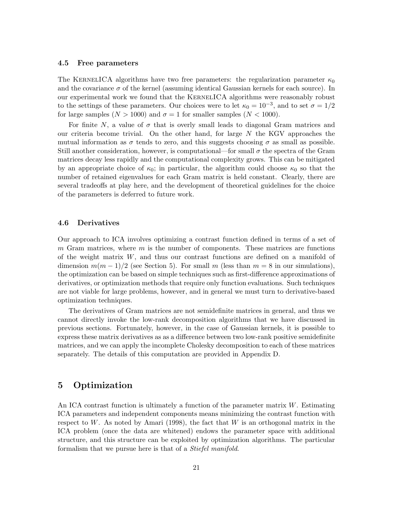### **4.5 Free parameters**

The KERNELICA algorithms have two free parameters: the regularization parameter  $\kappa_0$ and the covariance  $\sigma$  of the kernel (assuming identical Gaussian kernels for each source). In our experimental work we found that the KERNELICA algorithms were reasonably robust to the settings of these parameters. Our choices were to let  $\kappa_0 = 10^{-3}$ , and to set  $\sigma = 1/2$ for large samples  $(N > 1000)$  and  $\sigma = 1$  for smaller samples  $(N < 1000)$ .

For finite N, a value of  $\sigma$  that is overly small leads to diagonal Gram matrices and our criteria become trivial. On the other hand, for large  $N$  the KGV approaches the mutual information as  $\sigma$  tends to zero, and this suggests choosing  $\sigma$  as small as possible. Still another consideration, however, is computational—for small  $\sigma$  the spectra of the Gram matrices decay less rapidly and the computational complexity grows. This can be mitigated by an appropriate choice of  $\kappa_0$ ; in particular, the algorithm could choose  $\kappa_0$  so that the number of retained eigenvalues for each Gram matrix is held constant. Clearly, there are several tradeoffs at play here, and the development of theoretical guidelines for the choice of the parameters is deferred to future work.

### **4.6 Derivatives**

Our approach to ICA involves optimizing a contrast function defined in terms of a set of  $m$  Gram matrices, where  $m$  is the number of components. These matrices are functions of the weight matrix  $W$ , and thus our contrast functions are defined on a manifold of dimension  $m(m-1)/2$  (see Section 5). For small m (less than  $m=8$  in our simulations), the optimization can be based on simple techniques such as first-difference approximations of derivatives, or optimization methods that require only function evaluations. Such techniques are not viable for large problems, however, and in general we must turn to derivative-based optimization techniques.

The derivatives of Gram matrices are not semidefinite matrices in general, and thus we cannot directly invoke the low-rank decomposition algorithms that we have discussed in previous sections. Fortunately, however, in the case of Gaussian kernels, it is possible to express these matrix derivatives as as a difference between two low-rank positive semidefinite matrices, and we can apply the incomplete Cholesky decomposition to each of these matrices separately. The details of this computation are provided in Appendix D.

### **5 Optimization**

An ICA contrast function is ultimately a function of the parameter matrix  $W$ . Estimating ICA parameters and independent components means minimizing the contrast function with respect to W. As noted by Amari (1998), the fact that  $W$  is an orthogonal matrix in the ICA problem (once the data are whitened) endows the parameter space with additional structure, and this structure can be exploited by optimization algorithms. The particular formalism that we pursue here is that of a *Stiefel manifold*.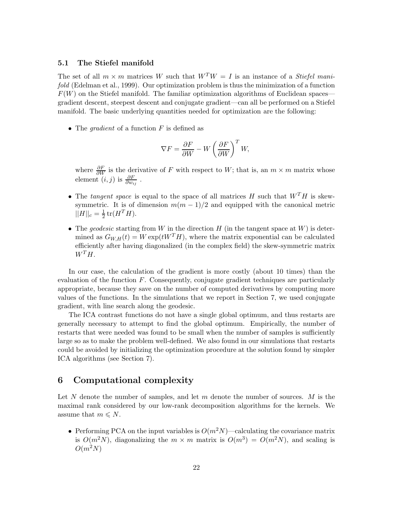### **5.1 The Stiefel manifold**

The set of all  $m \times m$  matrices W such that  $W^T W = I$  is an instance of a *Stiefel manifold* (Edelman et al., 1999). Our optimization problem is thus the minimization of a function  $F(W)$  on the Stiefel manifold. The familiar optimization algorithms of Euclidean spacesgradient descent, steepest descent and conjugate gradient—can all be performed on a Stiefel manifold. The basic underlying quantities needed for optimization are the following:

• The *gradient* of a function F is defined as

$$
\nabla F = \frac{\partial F}{\partial W} - W \left( \frac{\partial F}{\partial W} \right)^T W,
$$

where  $\frac{\partial F}{\partial W}$  is the derivative of F with respect to W; that is, an  $m \times m$  matrix whose element  $(i, j)$  is  $\frac{\partial F}{\partial w_{ij}}$ .

- The *tangent space* is equal to the space of all matrices H such that  $W<sup>T</sup>H$  is skewsymmetric. It is of dimension  $m(m-1)/2$  and equipped with the canonical metric  $||H||_c = \frac{1}{2} \text{tr}(H^T H).$
- The *geodesic* starting from W in the direction  $H$  (in the tangent space at  $W$ ) is determined as  $G_{W,H}(t) = W \exp(tW^TH)$ , where the matrix exponential can be calculated efficiently after having diagonalized (in the complex field) the skew-symmetric matrix  $W^T H$ .

In our case, the calculation of the gradient is more costly (about 10 times) than the evaluation of the function  $F$ . Consequently, conjugate gradient techniques are particularly appropriate, because they save on the number of computed derivatives by computing more values of the functions. In the simulations that we report in Section 7, we used conjugate gradient, with line search along the geodesic.

The ICA contrast functions do not have a single global optimum, and thus restarts are generally necessary to attempt to find the global optimum. Empirically, the number of restarts that were needed was found to be small when the number of samples is sufficiently large so as to make the problem well-defined. We also found in our simulations that restarts could be avoided by initializing the optimization procedure at the solution found by simpler ICA algorithms (see Section 7).

### **6 Computational complexity**

Let N denote the number of samples, and let  $m$  denote the number of sources.  $M$  is the maximal rank considered by our low-rank decomposition algorithms for the kernels. We assume that  $m \leq N$ .

• Performing PCA on the input variables is  $O(m^2N)$ —calculating the covariance matrix is  $O(m^2N)$ , diagonalizing the  $m \times m$  matrix is  $O(m^3) = O(m^2N)$ , and scaling is  $O(m^2N)$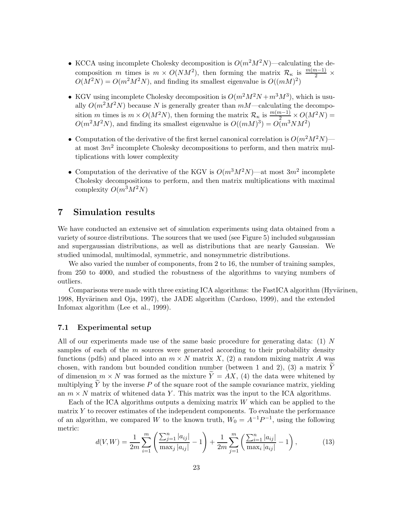- KCCA using incomplete Cholesky decomposition is  $O(m^2M^2N)$ —calculating the decomposition m times is  $m \times O(NM^2)$ , then forming the matrix  $\mathcal{R}_{\kappa}$  is  $\frac{m(m-1)}{2} \times O(N^2N) = O(m^2M^2N)$  and finding its smallest eigenvalue is  $O((mM)^2)$  $O(M^2N) = O(m^2M^2N)$ , and finding its smallest eigenvalue is  $O((mM)^2)$
- KGV using incomplete Cholesky decomposition is  $O(m^2M^2N + m^3M^3)$ , which is usually  $O(m^2M^2N)$  because N is generally greater than  $mM$ —calculating the decomposition m times is  $m \times O(M^2N)$ , then forming the matrix  $\mathcal{R}_{\kappa}$  is  $\frac{m(m-1)}{2} \times O(M^2N) = O(m^2M^2N)$ , and finding its smallest eigenvalue is  $O((mM)^3) = O(m^3NM^2)$
- Computation of the derivative of the first kernel canonical correlation is  $O(m^2M^2N)$ at most  $3m^2$  incomplete Cholesky decompositions to perform, and then matrix multiplications with lower complexity
- Computation of the derivative of the KGV is  $O(m^3M^2N)$ —at most  $3m^2$  incomplete Cholesky decompositions to perform, and then matrix multiplications with maximal complexity  $O(m^3M^2N)$

### **7 Simulation results**

We have conducted an extensive set of simulation experiments using data obtained from a variety of source distributions. The sources that we used (see Figure 5) included subgaussian and supergaussian distributions, as well as distributions that are nearly Gaussian. We studied unimodal, multimodal, symmetric, and nonsymmetric distributions.

We also varied the number of components, from 2 to 16, the number of training samples, from 250 to 4000, and studied the robustness of the algorithms to varying numbers of outliers.

Comparisons were made with three existing ICA algorithms: the FastICA algorithm (Hyvärinen, 1998, Hyvärinen and Oja, 1997), the JADE algorithm (Cardoso, 1999), and the extended Infomax algorithm (Lee et al., 1999).

### **7.1 Experimental setup**

All of our experiments made use of the same basic procedure for generating data:  $(1)$  N samples of each of the  $m$  sources were generated according to their probability density functions (pdfs) and placed into an  $m \times N$  matrix X, (2) a random mixing matrix A was chosen, with random but bounded condition number (between 1 and 2), (3) a matrix  $\widetilde{Y}$ of dimension  $m \times N$  was formed as the mixture  $\widetilde{Y} = AX$ , (4) the data were whitened by multiplying  $\widetilde{Y}$  by the inverse P of the square root of the sample covariance matrix, yielding an  $m \times N$  matrix of whitened data Y. This matrix was the input to the ICA algorithms.

Each of the ICA algorithms outputs a demixing matrix  $W$  which can be applied to the matrix  $Y$  to recover estimates of the independent components. To evaluate the performance of an algorithm, we compared W to the known truth,  $W_0 = A^{-1}P^{-1}$ , using the following metric:

$$
d(V, W) = \frac{1}{2m} \sum_{i=1}^{m} \left( \frac{\sum_{j=1}^{n} |a_{ij}|}{\max_{j} |a_{ij}|} - 1 \right) + \frac{1}{2m} \sum_{j=1}^{m} \left( \frac{\sum_{i=1}^{n} |a_{ij}|}{\max_{i} |a_{ij}|} - 1 \right),
$$
(13)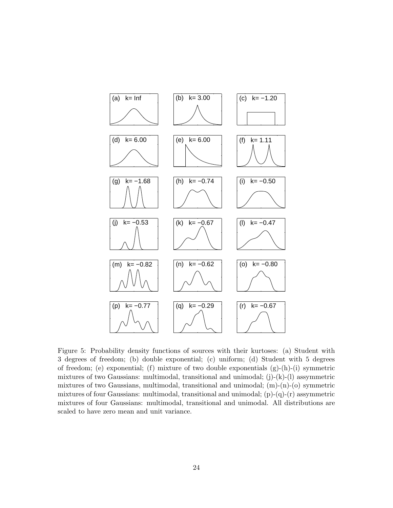

Figure 5: Probability density functions of sources with their kurtoses: (a) Student with 3 degrees of freedom; (b) double exponential; (c) uniform; (d) Student with 5 degrees of freedom; (e) exponential; (f) mixture of two double exponentials  $(g)-(h)-(i)$  symmetric mixtures of two Gaussians: multimodal, transitional and unimodal;  $(j)-(k)-(l)$  assymmetric mixtures of two Gaussians, multimodal, transitional and unimodal;  $(m)-(n)$  symmetric mixtures of four Gaussians: multimodal, transitional and unimodal;  $(p)-(q)-(r)$  assymmetric mixtures of four Gaussians: multimodal, transitional and unimodal. All distributions are scaled to have zero mean and unit variance.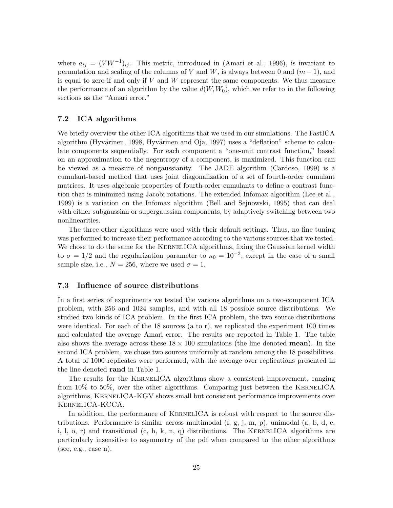where  $a_{ij} = (V W^{-1})_{ij}$ . This metric, introduced in (Amari et al., 1996), is invariant to permutation and scaling of the columns of V and W, is always between 0 and  $(m-1)$ , and is equal to zero if and only if  $V$  and  $W$  represent the same components. We thus measure the performance of an algorithm by the value  $d(W, W_0)$ , which we refer to in the following sections as the "Amari error."

### **7.2 ICA algorithms**

We briefly overview the other ICA algorithms that we used in our simulations. The FastICA algorithm (Hyvärinen, 1998, Hyvärinen and Oja, 1997) uses a "deflation" scheme to calculate components sequentially. For each component a "one-unit contrast function," based on an approximation to the negentropy of a component, is maximized. This function can be viewed as a measure of nongaussianity. The JADE algorithm (Cardoso, 1999) is a cumulant-based method that uses joint diagonalization of a set of fourth-order cumulant matrices. It uses algebraic properties of fourth-order cumulants to define a contrast function that is minimized using Jacobi rotations. The extended Infomax algorithm (Lee et al., 1999) is a variation on the Infomax algorithm (Bell and Sejnowski, 1995) that can deal with either subgaussian or supergaussian components, by adaptively switching between two nonlinearities.

The three other algorithms were used with their default settings. Thus, no fine tuning was performed to increase their performance according to the various sources that we tested. We chose to do the same for the KERNELICA algorithms, fixing the Gaussian kernel width to  $\sigma = 1/2$  and the regularization parameter to  $\kappa_0 = 10^{-3}$ , except in the case of a small sample size, i.e.,  $N = 256$ , where we used  $\sigma = 1$ .

#### **7.3 Influence of source distributions**

In a first series of experiments we tested the various algorithms on a two-component ICA problem, with 256 and 1024 samples, and with all 18 possible source distributions. We studied two kinds of ICA problem. In the first ICA problem, the two source distributions were identical. For each of the  $18$  sources (a to r), we replicated the experiment  $100$  times and calculated the average Amari error. The results are reported in Table 1. The table also shows the average across these  $18 \times 100$  simulations (the line denoted **mean**). In the second ICA problem, we chose two sources uniformly at random among the 18 possibilities. A total of 1000 replicates were performed, with the average over replications presented in the line denoted **rand** in Table 1.

The results for the KERNELICA algorithms show a consistent improvement, ranging from  $10\%$  to  $50\%$ , over the other algorithms. Comparing just between the KERNELICA algorithms, KernelICA-KGV shows small but consistent performance improvements over KernelICA-KCCA.

In addition, the performance of KERNELICA is robust with respect to the source distributions. Performance is similar across multimodal (f, g, j, m, p), unimodal (a, b, d, e, i, l, o, r) and transitional  $(c, h, k, n, q)$  distributions. The KERNELICA algorithms are particularly insensitive to asymmetry of the pdf when compared to the other algorithms (see, e.g., case n).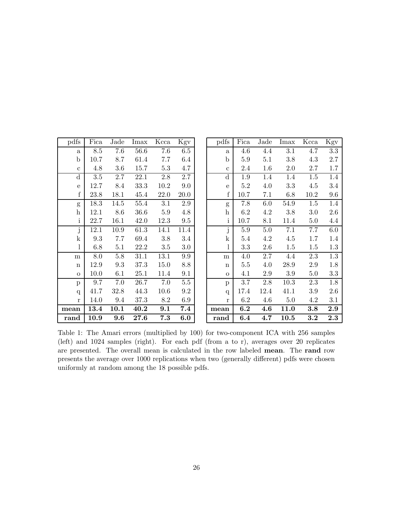| pdfs                      | Fica    | Jade      | Imax     | Kcca     | Kgv       | pdfs           | Fica    | Jade    | Imax | Kcca    | Kgv     |
|---------------------------|---------|-----------|----------|----------|-----------|----------------|---------|---------|------|---------|---------|
| a                         | 8.5     | 7.6       | 56.6     | 7.6      | $6.5\,$   | a              | 4.6     | 4.4     | 3.1  | 4.7     | 3.3     |
| b                         | 10.7    | 8.7       | 61.4     | 7.7      | 6.4       | $\mathbf b$    | 5.9     | 5.1     | 3.8  | 4.3     | 2.7     |
| $\mathbf{c}$              | 4.8     | 3.6       | 15.7     | 5.3      | 4.7       | $\mathbf c$    | $2.4\,$ | 1.6     | 2.0  | 2.7     | 1.7     |
| d                         | $3.5\,$ | $2.7\,$   | 22.1     | $2.8\,$  | 2.7       | $\mathbf d$    | $1.9\,$ | 1.4     | 1.4  | $1.5\,$ | 1.4     |
| e                         | 12.7    | 8.4       | 33.3     | 10.2     | 9.0       | e              | $5.2\,$ | 4.0     | 3.3  | 4.5     | $3.4\,$ |
| $\mathbf f$               | 23.8    | 18.1      | 45.4     | 22.0     | 20.0      | $\mathbf f$    | 10.7    | 7.1     | 6.8  | 10.2    | 9.6     |
| g                         | 18.3    | 14.5      | 55.4     | 3.1      | 2.9       | g              | 7.8     | 6.0     | 54.9 | 1.5     | 1.4     |
| $\boldsymbol{\mathrm{h}}$ | 12.1    | 8.6       | 36.6     | $5.9\,$  | 4.8       | $\mathbf{h}$   | $6.2\,$ | 4.2     | 3.8  | $3.0\,$ | 2.6     |
| $\mathbf{i}$              | 22.7    | 16.1      | $42.0\,$ | 12.3     | $\,9.5$   | $\mathbf{i}$   | 10.7    | 8.1     | 11.4 | $5.0\,$ | 4.4     |
| j                         | 12.1    | 10.9      | 61.3     | 14.1     | 11.4      | $\rm j$        | $5.9\,$ | 5.0     | 7.1  | 7.7     | 6.0     |
| $\mathbf k$               | 9.3     | 7.7       | 69.4     | 3.8      | 3.4       | $\mathbf k$    | 5.4     | 4.2     | 4.5  | 1.7     | 1.4     |
| $\mathbf{l}$              | 6.8     | 5.1       | 22.2     | $3.5\,$  | $3.0\,$   | 1              | 3.3     | 2.6     | 1.5  | $1.5\,$ | 1.3     |
| m                         | 8.0     | $5.8\,$   | 31.1     | 13.1     | $\rm 9.9$ | m              | 4.0     | 2.7     | 4.4  | 2.3     | 1.3     |
| $\mathbf n$               | 12.9    | $\rm 9.3$ | 37.3     | $15.0\,$ | 8.8       | $\mathbf n$    | 5.5     | 4.0     | 28.9 | $2.9\,$ | 1.8     |
| $\mathbf{O}$              | 10.0    | 6.1       | 25.1     | 11.4     | 9.1       | $\overline{O}$ | 4.1     | 2.9     | 3.9  | 5.0     | 3.3     |
| p                         | 9.7     | 7.0       | 26.7     | 7.0      | $5.5\,$   | $\mathbf{p}$   | 3.7     | $2.8\,$ | 10.3 | 2.3     | 1.8     |
| $\mathbf q$               | 41.7    | 32.8      | 44.3     | 10.6     | 9.2       | q              | 17.4    | 12.4    | 41.1 | $3.9\,$ | 2.6     |
| $\bf r$                   | 14.0    | 9.4       | 37.3     | 8.2      | 6.9       | r              | $6.2\,$ | 4.6     | 5.0  | 4.2     | 3.1     |
| mean                      | 13.4    | 10.1      | 40.2     | 9.1      | 7.4       | mean           | 6.2     | 4.6     | 11.0 | 3.8     | 2.9     |
| rand                      | 10.9    | 9.6       | 27.6     | 7.3      | 6.0       | rand           | 6.4     | 4.7     | 10.5 | 3.2     | 2.3     |

Table 1: The Amari errors (multiplied by 100) for two-component ICA with 256 samples (left) and 1024 samples (right). For each pdf (from a to r), averages over 20 replicates are presented. The overall mean is calculated in the row labeled **mean**. The **rand** row presents the average over 1000 replications when two (generally different) pdfs were chosen uniformly at random among the 18 possible pdfs.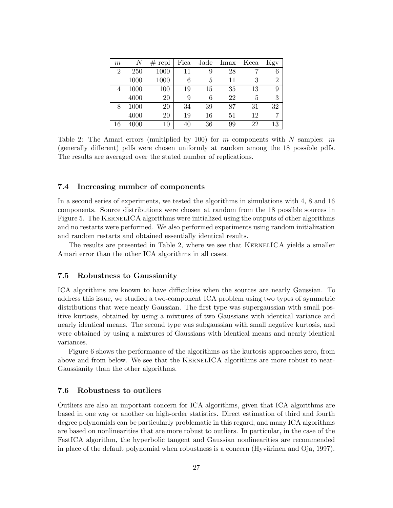| m              | Ν    | $#$ repl | Fica | Jade | Imax | Kcca | Kgy |
|----------------|------|----------|------|------|------|------|-----|
| $\overline{2}$ | 250  | 1000     | 11   | 9    | 28   |      | 6   |
|                | 1000 | 1000     | 6    | 5    | 11   | 3    | 2   |
| 4              | 1000 | 100      | 19   | 15   | 35   | 13   | 9   |
|                | 4000 | 20       | 9    | 6    | 22   | 5    | 3   |
| 8              | 1000 | 20       | 34   | 39   | 87   | 31   | 32  |
|                | 4000 | 20       | 19   | 16   | 51   | 12   |     |
| 16             | 4000 | 10       | 40   | 36   | 99   | 22   | 13  |

Table 2: The Amari errors (multiplied by 100) for m components with N samples: m (generally different) pdfs were chosen uniformly at random among the 18 possible pdfs. The results are averaged over the stated number of replications.

### **7.4 Increasing number of components**

In a second series of experiments, we tested the algorithms in simulations with 4, 8 and 16 components. Source distributions were chosen at random from the 18 possible sources in Figure 5. The KERNELICA algorithms were initialized using the outputs of other algorithms and no restarts were performed. We also performed experiments using random initialization and random restarts and obtained essentially identical results.

The results are presented in Table 2, where we see that KERNELICA yields a smaller Amari error than the other ICA algorithms in all cases.

### **7.5 Robustness to Gaussianity**

ICA algorithms are known to have difficulties when the sources are nearly Gaussian. To address this issue, we studied a two-component ICA problem using two types of symmetric distributions that were nearly Gaussian. The first type was supergaussian with small positive kurtosis, obtained by using a mixtures of two Gaussians with identical variance and nearly identical means. The second type was subgaussian with small negative kurtosis, and were obtained by using a mixtures of Gaussians with identical means and nearly identical variances.

Figure 6 shows the performance of the algorithms as the kurtosis approaches zero, from above and from below. We see that the KERNELICA algorithms are more robust to near-Gaussianity than the other algorithms.

#### **7.6 Robustness to outliers**

Outliers are also an important concern for ICA algorithms, given that ICA algorithms are based in one way or another on high-order statistics. Direct estimation of third and fourth degree polynomials can be particularly problematic in this regard, and many ICA algorithms are based on nonlinearities that are more robust to outliers. In particular, in the case of the FastICA algorithm, the hyperbolic tangent and Gaussian nonlinearities are recommended in place of the default polynomial when robustness is a concern (Hyvärinen and Oja, 1997).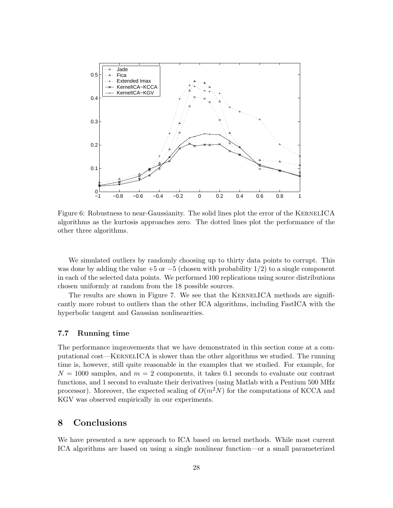

Figure 6: Robustness to near-Gaussianity. The solid lines plot the error of the KERNELICA algorithms as the kurtosis approaches zero. The dotted lines plot the performance of the other three algorithms.

We simulated outliers by randomly choosing up to thirty data points to corrupt. This was done by adding the value +5 or  $-5$  (chosen with probability 1/2) to a single component in each of the selected data points. We performed 100 replications using source distributions chosen uniformly at random from the 18 possible sources.

The results are shown in Figure 7. We see that the KERNELICA methods are significantly more robust to outliers than the other ICA algorithms, including FastICA with the hyperbolic tangent and Gaussian nonlinearities.

### **7.7 Running time**

The performance improvements that we have demonstrated in this section come at a computational cost—KernelICA is slower than the other algorithms we studied. The running time is, however, still quite reasonable in the examples that we studied. For example, for  $N = 1000$  samples, and  $m = 2$  components, it takes 0.1 seconds to evaluate our contrast functions, and 1 second to evaluate their derivatives (using Matlab with a Pentium 500 MHz processor). Moreover, the expected scaling of  $O(m^2N)$  for the computations of KCCA and KGV was observed empirically in our experiments.

### **8 Conclusions**

We have presented a new approach to ICA based on kernel methods. While most current ICA algorithms are based on using a single nonlinear function—or a small parameterized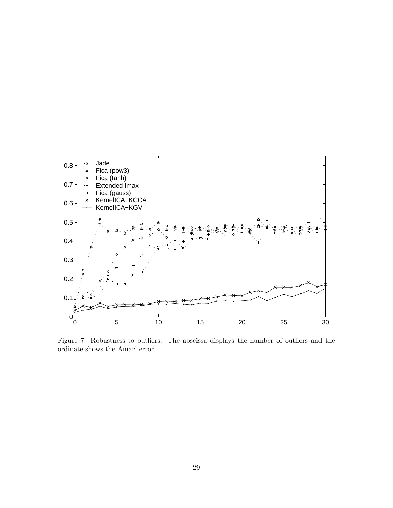

Figure 7: Robustness to outliers. The abscissa displays the number of outliers and the ordinate shows the Amari error.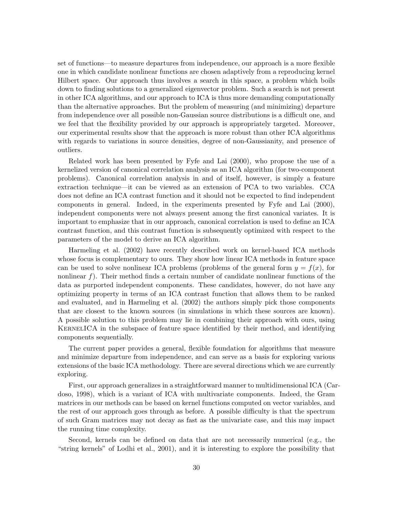set of functions—to measure departures from independence, our approach is a more flexible one in which candidate nonlinear functions are chosen adaptively from a reproducing kernel Hilbert space. Our approach thus involves a search in this space, a problem which boils down to finding solutions to a generalized eigenvector problem. Such a search is not present in other ICA algorithms, and our approach to ICA is thus more demanding computationally than the alternative approaches. But the problem of measuring (and minimizing) departure from independence over all possible non-Gaussian source distributions is a difficult one, and we feel that the flexibility provided by our approach is appropriately targeted. Moreover, our experimental results show that the approach is more robust than other ICA algorithms with regards to variations in source densities, degree of non-Gaussianity, and presence of outliers.

Related work has been presented by Fyfe and Lai (2000), who propose the use of a kernelized version of canonical correlation analysis as an ICA algorithm (for two-component problems). Canonical correlation analysis in and of itself, however, is simply a feature extraction technique—it can be viewed as an extension of PCA to two variables. CCA does not define an ICA contrast function and it should not be expected to find independent components in general. Indeed, in the experiments presented by Fyfe and Lai (2000), independent components were not always present among the first canonical variates. It is important to emphasize that in our approach, canonical correlation is used to define an ICA contrast function, and this contrast function is subsequently optimized with respect to the parameters of the model to derive an ICA algorithm.

Harmeling et al. (2002) have recently described work on kernel-based ICA methods whose focus is complementary to ours. They show how linear ICA methods in feature space can be used to solve nonlinear ICA problems (problems of the general form  $y = f(x)$ , for nonlinear  $f$ ). Their method finds a certain number of candidate nonlinear functions of the data as purported independent components. These candidates, however, do not have any optimizing property in terms of an ICA contrast function that allows them to be ranked and evaluated, and in Harmeling et al. (2002) the authors simply pick those components that are closest to the known sources (in simulations in which these sources are known). A possible solution to this problem may lie in combining their approach with ours, using KERNELICA in the subspace of feature space identified by their method, and identifying components sequentially.

The current paper provides a general, flexible foundation for algorithms that measure and minimize departure from independence, and can serve as a basis for exploring various extensions of the basic ICA methodology. There are several directions which we are currently exploring.

First, our approach generalizes in a straightforward manner to multidimensional ICA (Cardoso, 1998), which is a variant of ICA with multivariate components. Indeed, the Gram matrices in our methods can be based on kernel functions computed on vector variables, and the rest of our approach goes through as before. A possible difficulty is that the spectrum of such Gram matrices may not decay as fast as the univariate case, and this may impact the running time complexity.

Second, kernels can be defined on data that are not necessarily numerical (e.g., the "string kernels" of Lodhi et al., 2001), and it is interesting to explore the possibility that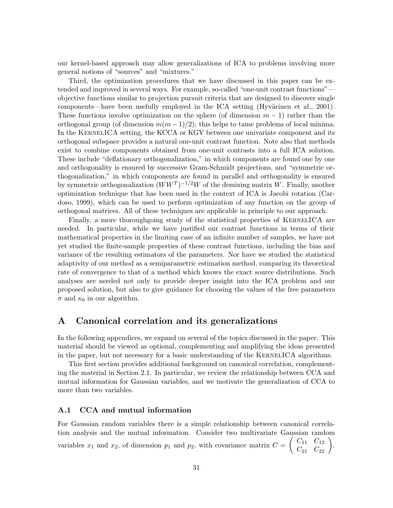our kernel-based approach may allow generalizations of ICA to problems involving more general notions of "sources" and "mixtures."

Third, the optimization procedures that we have discussed in this paper can be extended and improved in several ways. For example, so-called "one-unit contrast functions" objective functions similar to projection pursuit criteria that are designed to discover single components—have been usefully employed in the ICA setting (Hyvärinen et al., 2001). These functions involve optimization on the sphere (of dimension  $m-1$ ) rather than the orthogonal group (of dimension  $m(m-1)/2$ ); this helps to tame problems of local minima. In the KERNELICA setting, the KCCA or KGV between one univariate component and its orthogonal subspace provides a natural one-unit contrast function. Note also that methods exist to combine components obtained from one-unit contrasts into a full ICA solution. These include "deflationary orthogonalization," in which components are found one by one and orthogonality is ensured by successive Gram-Schmidt projections, and "symmetric orthogonalization," in which components are found in parallel and orthogonality is ensured by symmetric orthogonalization  $(WW^T)^{-1/2}W$  of the demixing matrix W. Finally, another optimization technique that has been used in the context of ICA is Jacobi rotation (Cardoso, 1999), which can be used to perform optimization of any function on the group of orthogonal matrices. All of these techniques are applicable in principle to our approach.

Finally, a more thoroughgoing study of the statistical properties of KERNELICA are needed. In particular, while we have justified our contrast functions in terms of their mathematical properties in the limiting case of an infinite number of samples, we have not yet studied the finite-sample properties of these contrast functions, including the bias and variance of the resulting estimators of the parameters. Nor have we studied the statistical adaptivity of our method as a semiparametric estimation method, comparing its theoretical rate of convergence to that of a method which knows the exact source distributions. Such analyses are needed not only to provide deeper insight into the ICA problem and our proposed solution, but also to give guidance for choosing the values of the free parameters  $\sigma$  and  $\kappa_0$  in our algorithm.

### **A Canonical correlation and its generalizations**

In the following appendices, we expand on several of the topics discussed in the paper. This material should be viewed as optional, complementing and amplifying the ideas presented in the paper, but not necessary for a basic understanding of the KERNELICA algorithms.

This first section provides additional background on canonical correlation, complementing the material in Section 2.1. In particular, we review the relationship between CCA and mutual information for Gaussian variables, and we motivate the generalization of CCA to more than two variables.

### **A.1 CCA and mutual information**

For Gaussian random variables there is a simple relationship between canonical correlation analysis and the mutual information. Consider two multivariate Gaussian random variables  $x_1$  and  $x_2$ , of dimension  $p_1$  and  $p_2$ , with covariance matrix  $C = \begin{pmatrix} C_{11} & C_{12} \\ C_{21} & C_{22} \end{pmatrix}$ .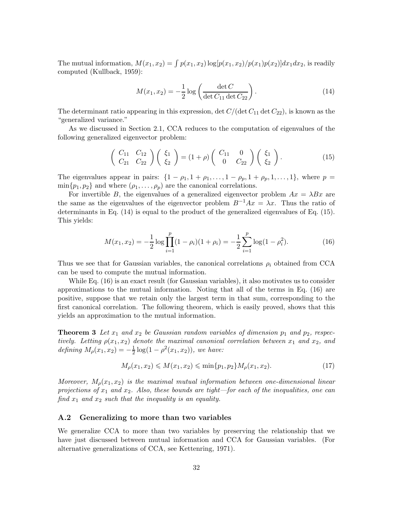The mutual information,  $M(x_1, x_2) = \int p(x_1, x_2) \log[p(x_1, x_2)/p(x_1)p(x_2)]dx_1dx_2$ , is readily computed (Kullback, 1959):

$$
M(x_1, x_2) = -\frac{1}{2} \log \left( \frac{\det C}{\det C_{11} \det C_{22}} \right).
$$
 (14)

The determinant ratio appearing in this expression, det  $C/(\det C_{11} \det C_{22})$ , is known as the "generalized variance."

As we discussed in Section 2.1, CCA reduces to the computation of eigenvalues of the following generalized eigenvector problem:

$$
\begin{pmatrix}\nC_{11} & C_{12} \\
C_{21} & C_{22}\n\end{pmatrix}\n\begin{pmatrix}\n\xi_1 \\
\xi_2\n\end{pmatrix} = (1+\rho)\n\begin{pmatrix}\nC_{11} & 0 \\
0 & C_{22}\n\end{pmatrix}\n\begin{pmatrix}\n\xi_1 \\
\xi_2\n\end{pmatrix}.
$$
\n(15)

The eigenvalues appear in pairs:  $\{1 - \rho_1, 1 + \rho_1, \ldots, 1 - \rho_p, 1 + \rho_p, 1, \ldots, 1\}$ , where  $p =$  $\min\{p_1, p_2\}$  and where  $(\rho_1, \ldots, \rho_p)$  are the canonical correlations.

For invertible B, the eigenvalues of a generalized eigenvector problem  $Ax = \lambda Bx$  are the same as the eigenvalues of the eigenvector problem  $B^{-1}Ax = \lambda x$ . Thus the ratio of determinants in Eq. (14) is equal to the product of the generalized eigenvalues of Eq. (15). This yields:

$$
M(x_1, x_2) = -\frac{1}{2} \log \prod_{i=1}^p (1 - \rho_i)(1 + \rho_i) = -\frac{1}{2} \sum_{i=1}^p \log(1 - \rho_i^2).
$$
 (16)

Thus we see that for Gaussian variables, the canonical correlations  $\rho_i$  obtained from CCA can be used to compute the mutual information.

While Eq. (16) is an exact result (for Gaussian variables), it also motivates us to consider approximations to the mutual information. Noting that all of the terms in Eq. (16) are positive, suppose that we retain only the largest term in that sum, corresponding to the first canonical correlation. The following theorem, which is easily proved, shows that this yields an approximation to the mutual information.

**Theorem 3** Let  $x_1$  and  $x_2$  be Gaussian random variables of dimension  $p_1$  and  $p_2$ , respec*tively.* Letting  $\rho(x_1, x_2)$  denote the maximal canonical correlation between  $x_1$  and  $x_2$ , and *defining*  $M_\rho(x_1, x_2) = -\frac{1}{2} \log(1 - \rho^2(x_1, x_2))$ *, we have:* 

$$
M_{\rho}(x_1, x_2) \leq M(x_1, x_2) \leq \min\{p_1, p_2\} M_{\rho}(x_1, x_2). \tag{17}
$$

*Moreover,*  $M_0(x_1, x_2)$  *is the maximal mutual information between one-dimensional linear projections of* <sup>x</sup>1 *and* <sup>x</sup>2*. Also, these bounds are tight—for each of the inequalities, one can find* <sup>x</sup>1 *and* <sup>x</sup>2 *such that the inequality is an equality.*

#### **A.2 Generalizing to more than two variables**

We generalize CCA to more than two variables by preserving the relationship that we have just discussed between mutual information and CCA for Gaussian variables. (For alternative generalizations of CCA, see Kettenring, 1971).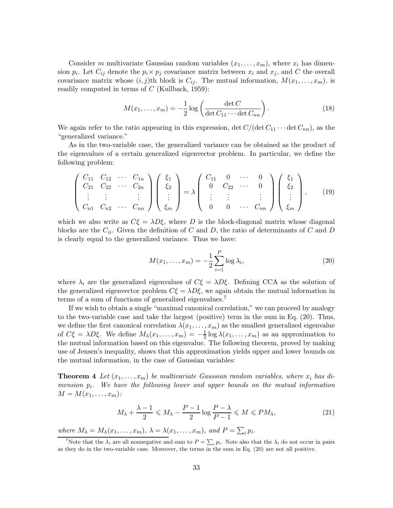Consider m multivariate Gaussian random variables  $(x_1,...,x_m)$ , where  $x_i$  has dimension  $p_i$ . Let  $C_{ij}$  denote the  $p_i \times p_j$  covariance matrix between  $x_i$  and  $x_j$ , and C the overall covariance matrix whose  $(i, j)$ th block is  $C_{ij}$ . The mutual information,  $M(x_1, \ldots, x_m)$ , is readily computed in terms of  $C$  (Kullback, 1959):

$$
M(x_1, \dots, x_m) = -\frac{1}{2} \log \left( \frac{\det C}{\det C_{11} \cdots \det C_{nn}} \right).
$$
 (18)

We again refer to the ratio appearing in this expression,  $\det C/(\det C_{11} \cdots \det C_{nn})$ , as the "generalized variance."

As in the two-variable case, the generalized variance can be obtained as the product of the eigenvalues of a certain generalized eigenvector problem. In particular, we define the following problem:

$$
\begin{pmatrix}\nC_{11} & C_{12} & \cdots & C_{1n} \\
C_{21} & C_{22} & \cdots & C_{2n} \\
\vdots & \vdots & & \vdots \\
C_{n1} & C_{n2} & \cdots & C_{nn}\n\end{pmatrix}\n\begin{pmatrix}\n\xi_1 \\
\xi_2 \\
\vdots \\
\xi_m\n\end{pmatrix} = \lambda \begin{pmatrix}\nC_{11} & 0 & \cdots & 0 \\
0 & C_{22} & \cdots & 0 \\
\vdots & \vdots & & \vdots \\
0 & 0 & \cdots & C_{nn}\n\end{pmatrix}\n\begin{pmatrix}\n\xi_1 \\
\xi_2 \\
\vdots \\
\xi_m\n\end{pmatrix},
$$
\n(19)

which we also write as  $C\xi = \lambda D\xi$ , where D is the block-diagonal matrix whose diagonal blocks are the  $C_{ii}$ . Given the definition of C and D, the ratio of determinants of C and D is clearly equal to the generalized variance. Thus we have:

$$
M(x_1, ..., x_m) = -\frac{1}{2} \sum_{i=1}^{P} \log \lambda_i,
$$
 (20)

where  $\lambda_i$  are the generalized eigenvalues of  $C\xi = \lambda D\xi$ . Defining CCA as the solution of the generalized eigenvector problem  $C\xi = \lambda D\xi$ , we again obtain the mutual information in terms of a sum of functions of generalized eigenvalues.7

If we wish to obtain a single "maximal canonical correlation," we can proceed by analogy to the two-variable case and take the largest (positive) term in the sum in Eq. (20). Thus, we define the first canonical correlation  $\lambda(x_1,\ldots,x_m)$  as the smallest generalized eigenvalue of  $C\xi = \lambda D\xi$ . We define  $M_\lambda(x_1,\ldots,x_m) = -\frac{1}{2}\log \lambda(x_1,\ldots,x_m)$  as an approximation to the mutual information based on this eigenvalue. The following theorem, proved by making the mutual information based on this eigenvalue. The following theorem, proved by making use of Jensen's inequality, shows that this approximation yields upper and lower bounds on the mutual information, in the case of Gaussian variables:

**Theorem 4** Let  $(x_1, \ldots, x_m)$  be multivariate Gaussian random variables, where  $x_i$  has di*mension* pi*. We have the following lower and upper bounds on the mutual information*  $M = M(x_1, \ldots, x_m)$ :

$$
M_{\lambda} + \frac{\lambda - 1}{2} \le M_{\lambda} - \frac{P - 1}{2} \log \frac{P - \lambda}{P - 1} \le M \le PM_{\lambda},\tag{21}
$$

where  $M_{\lambda} = M_{\lambda}(x_1, \ldots, x_m)$ ,  $\lambda = \lambda(x_1, \ldots, x_m)$ , and  $P = \sum_i p_i$ .

<sup>&</sup>lt;sup>7</sup>Note that the  $\lambda_i$  are all nonnegative and sum to  $P = \sum_i p_i$ . Note also that the  $\lambda_i$  do not occur in pairs as they do in the two-variable case. Moreover, the terms in the sum in Eq. (20) are not all positive.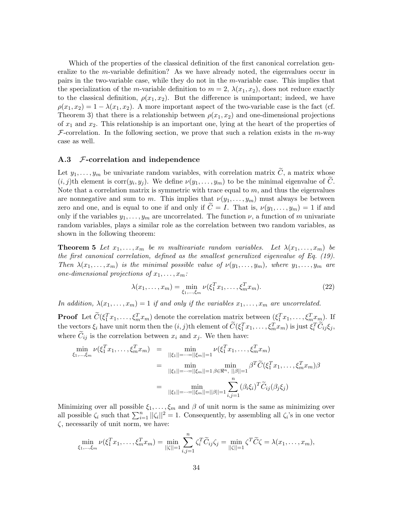Which of the properties of the classical definition of the first canonical correlation generalize to the m-variable definition? As we have already noted, the eigenvalues occur in pairs in the two-variable case, while they do not in the m-variable case. This implies that the specialization of the m-variable definition to  $m = 2$ ,  $\lambda(x_1, x_2)$ , does not reduce exactly to the classical definition,  $\rho(x_1, x_2)$ . But the difference is unimportant; indeed, we have  $\rho(x_1, x_2)=1 - \lambda(x_1, x_2)$ . A more important aspect of the two-variable case is the fact (cf. Theorem 3) that there is a relationship between  $\rho(x_1, x_2)$  and one-dimensional projections of  $x_1$  and  $x_2$ . This relationship is an important one, lying at the heart of the properties of F-correlation. In the following section, we prove that such a relation exists in the m-way case as well.

### **A.3** F**-correlation and independence**

Let  $y_1, \ldots, y_m$  be univariate random variables, with correlation matrix  $\tilde{C}$ , a matrix whose  $(i, j)$ th element is corr $(y_i, y_j)$ . We define  $\nu(y_1, \ldots, y_m)$  to be the minimal eigenvalue of C. Note that a correlation matrix is symmetric with trace equal to  $m$ , and thus the eigenvalues are nonnegative and sum to m. This implies that  $\nu(y_1,\ldots,y_m)$  must always be between zero and one, and is equal to one if and only if  $\tilde{C}=I$ . That is,  $\nu(y_1,\ldots,y_m)=1$  if and only if the variables  $y_1, \ldots, y_m$  are uncorrelated. The function  $\nu$ , a function of m univariate random variables, plays a similar role as the correlation between two random variables, as shown in the following theorem:

**Theorem 5** Let  $x_1, \ldots, x_m$  be m multivariate random variables. Let  $\lambda(x_1, \ldots, x_m)$  be *the first canonical correlation, defined as the smallest generalized eigenvalue of Eq. (19). Then*  $\lambda(x_1,\ldots,x_m)$  *is the minimal possible value of*  $\nu(y_1,\ldots,y_m)$ *, where*  $y_1,\ldots,y_m$  *are one-dimensional projections of*  $x_1, \ldots, x_m$ :

$$
\lambda(x_1, \dots, x_m) = \min_{\xi_1, \dots, \xi_m} \nu(\xi_1^T x_1, \dots, \xi_m^T x_m).
$$
 (22)

*In addition,*  $\lambda(x_1,\ldots,x_m)=1$  *if and only if the variables*  $x_1,\ldots,x_m$  *are uncorrelated.* 

**Proof** Let  $\widetilde{C}(\xi_1^T x_1, \ldots, \xi_m^T x_m)$  denote the correlation matrix between  $(\xi_1^T x_1, \ldots, \xi_m^T x_m)$ . If the vectors  $\xi_i$  have unit norm then the  $(i, j)$ th element of  $\widetilde{C}(\xi_1^T x_1, \ldots, \xi_m^T x_m)$  is just  $\widetilde{\xi}_i^T \widetilde{C}_{ij} \xi_j$ , where  $C_{ij}$  is the correlation between  $x_i$  and  $x_j$ . We then have:

$$
\min_{\xi_1, ..., \xi_m} \nu(\xi_1^T x_1, ..., \xi_m^T x_m) = \min_{\|\xi_1\| = \dots = \|\xi_m\| = 1} \nu(\xi_1^T x_1, ..., \xi_m^T x_m)
$$
\n
$$
= \min_{\|\xi_1\| = \dots = \|\xi_m\| = 1} \min_{\beta \in \mathbb{R}^n, \|\beta\| = 1} \beta^T \widetilde{C}(\xi_1^T x_1, ..., \xi_m^T x_m) \beta
$$
\n
$$
= \min_{\|\xi_1\| = \dots = \|\xi_m\| = \|\beta\| = 1} \sum_{i,j=1}^n (\beta_i \xi_i)^T \widetilde{C}_{ij}(\beta_j \xi_j)
$$

Minimizing over all possible  $\xi_1,\ldots,\xi_m$  and  $\beta$  of unit norm is the same as minimizing over all possible  $\zeta_i$  such that  $\sum_{i=1}^n ||\zeta_i||^2 = 1$ . Consequently, by assembling all  $\zeta_i$ 's in one vector  $\zeta$ , necessarily of unit norm, we have:

$$
\min_{\xi_1, ..., \xi_m} \nu(\xi_1^T x_1, ..., \xi_m^T x_m) = \min_{||\zeta||=1} \sum_{i,j=1}^n \zeta_i^T \widetilde{C}_{ij} \zeta_j = \min_{||\zeta||=1} \zeta^T \widetilde{C} \zeta = \lambda(x_1, ..., x_m),
$$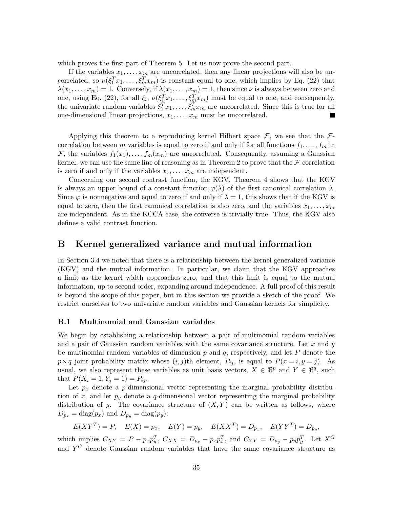which proves the first part of Theorem 5. Let us now prove the second part.

If the variables  $x_1, \ldots, x_m$  are uncorrelated, then any linear projections will also be uncorrelated, so  $\nu(\xi_1^T x_1, \ldots, \xi_m^T x_m)$  is constant equal to one, which implies by Eq. (22) that  $\lambda(x_1,\ldots,x_m) = 1$ . Conversely, if  $\lambda(x_1,\ldots,x_m) = 1$ , then since  $\nu$  is always between zero and one, using Eq. (22), for all  $\xi_i$ ,  $\nu(\xi_1^T x_1,\ldots,\xi_m^T x_m)$  must be equal to one, and consequently,<br>the universite random variables  $\xi_1^T x_1,\ldots,\xi_m^T x_m$  are uncorrelated. Since this is true for all the univariate random variables  $\xi_1^T x_1, \ldots, \xi_m^T x_m$  are uncorrelated. Since this is true for all<br>one-dimensional linear projections  $x_i$ ,  $\ldots$  must be uncorrelated one-dimensional linear projections,  $x_1, \ldots, x_m$  must be uncorrelated.

Applying this theorem to a reproducing kernel Hilbert space  $\mathcal{F}$ , we see that the  $\mathcal{F}$ correlation between m variables is equal to zero if and only if for all functions  $f_1,\ldots,f_m$  in F, the variables  $f_1(x_1),...,f_m(x_m)$  are uncorrelated. Consequently, assuming a Gaussian kernel, we can use the same line of reasoning as in Theorem 2 to prove that the  $\mathcal{F}\text{-correlation}$ is zero if and only if the variables  $x_1, \ldots, x_m$  are independent.

Concerning our second contrast function, the KGV, Theorem 4 shows that the KGV is always an upper bound of a constant function  $\varphi(\lambda)$  of the first canonical correlation  $\lambda$ . Since  $\varphi$  is nonnegative and equal to zero if and only if  $\lambda = 1$ , this shows that if the KGV is equal to zero, then the first canonical correlation is also zero, and the variables  $x_1, \ldots, x_m$ are independent. As in the KCCA case, the converse is trivially true. Thus, the KGV also defines a valid contrast function.

### **B Kernel generalized variance and mutual information**

In Section 3.4 we noted that there is a relationship between the kernel generalized variance (KGV) and the mutual information. In particular, we claim that the KGV approaches a limit as the kernel width approaches zero, and that this limit is equal to the mutual information, up to second order, expanding around independence. A full proof of this result is beyond the scope of this paper, but in this section we provide a sketch of the proof. We restrict ourselves to two univariate random variables and Gaussian kernels for simplicity.

#### **B.1 Multinomial and Gaussian variables**

We begin by establishing a relationship between a pair of multinomial random variables and a pair of Gaussian random variables with the same covariance structure. Let  $x$  and  $y$ be multinomial random variables of dimension  $p$  and  $q$ , respectively, and let  $P$  denote the  $p \times q$  joint probability matrix whose  $(i, j)$ th element,  $P_{ij}$ , is equal to  $P(x = i, y = j)$ . As usual, we also represent these variables as unit basis vectors,  $X \in \mathbb{R}^p$  and  $Y \in \mathbb{R}^q$ , such that  $P(X_i = 1, Y_j = 1) = P_{ij}$ .

Let  $p_x$  denote a p-dimensional vector representing the marginal probability distribution of x, and let  $p_y$  denote a q-dimensional vector representing the marginal probability distribution of y. The covariance structure of  $(X, Y)$  can be written as follows, where  $D_{p_x} = \text{diag}(p_x)$  and  $D_{p_y} = \text{diag}(p_y)$ :

$$
E(XY^T) = P
$$
,  $E(X) = p_x$ ,  $E(Y) = p_y$ ,  $E(XX^T) = D_{p_x}$ ,  $E(YY^T) = D_{p_y}$ ,

which implies  $C_{XY} = P - p_x p_y^T$ ,  $C_{XX} = D_{p_x} - p_x p_x^T$ , and  $C_{YY} = D_{p_y} - p_y p_y^T$ . Let  $X^G$ and  $Y^G$  denote Gaussian random variables that have the same covariance structure as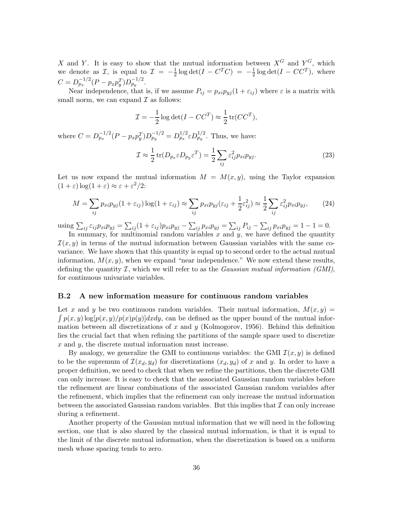X and Y. It is easy to show that the mutual information between  $X^G$  and  $Y^G$ , which we denote as *I*, is equal to  $I = -\frac{1}{2} \log \det(I - C^T C) = -\frac{1}{2} \log \det(I - C C^T)$ , where  $C = D_{p_x}^{-1/2} (P - p_x p_y^T) D_{p_y}^{-1/2}.$ 

Near independence, that is, if we assume  $P_{ij} = p_{xi}p_{yj}(1 + \varepsilon_{ij})$  where  $\varepsilon$  is a matrix with small norm, we can expand  $\mathcal I$  as follows:

$$
\mathcal{I} = -\frac{1}{2}\log \det(I - CC^T) \approx \frac{1}{2}\operatorname{tr}(CC^T),
$$

where  $C = D_{p_x}^{-1/2} (P - p_x p_y^T) D_{p_y}^{-1/2} = D_{p_x}^{1/2} \varepsilon D_{p_y}^{1/2}$ . Thus, we have:

$$
\mathcal{I} \approx \frac{1}{2} \operatorname{tr}(D_{p_x} \varepsilon D_{p_y} \varepsilon^T) = \frac{1}{2} \sum_{ij} \varepsilon_{ij}^2 p_{xi} p_{yj}.
$$
 (23)

Let us now expand the mutual information  $M = M(x, y)$ , using the Taylor expansion  $(1+\varepsilon)\log(1+\varepsilon) \approx \varepsilon + \varepsilon^2/2$ :

$$
M = \sum_{ij} p_{xi} p_{yj} (1 + \varepsilon_{ij}) \log(1 + \varepsilon_{ij}) \approx \sum_{ij} p_{xi} p_{yj} (\varepsilon_{ij} + \frac{1}{2} \varepsilon_{ij}^2) \approx \frac{1}{2} \sum_{ij} \varepsilon_{ij}^2 p_{xi} p_{yj}, \qquad (24)
$$

using  $\sum_{ij} \varepsilon_{ij} p_{xi} p_{yj} = \sum_{ij} (1 + \varepsilon_{ij}) p_{xi} p_{yj} - \sum_{ij} p_{xi} p_{yj} = \sum_{ij} P_{ij} - \sum_{ij} p_{xi} p_{yj} = 1 - 1 = 0.$ 

In summary, for multinomial random variables  $x$  and  $y$ , we have defined the quantity  $\mathcal{I}(x, y)$  in terms of the mutual information between Gaussian variables with the same covariance. We have shown that this quantity is equal up to second order to the actual mutual information,  $M(x, y)$ , when we expand "near independence." We now extend these results, defining the quantity I, which we will refer to as the *Gaussian mutual information (GMI)*, for continuous univariate variables.

### **B.2 A new information measure for continuous random variables**

Let x and y be two continuous random variables. Their mutual information,  $M(x, y) =$  $\int p(x, y) \log[p(x, y)/p(x)p(y)] dx dy$ , can be defined as the upper bound of the mutual information between all discretizations of x and y (Kolmogorov, 1956). Behind this definition lies the crucial fact that when refining the partitions of the sample space used to discretize  $x$  and  $y$ , the discrete mutual information must increase.

By analogy, we generalize the GMI to continuous variables: the GMI  $\mathcal{I}(x, y)$  is defined to be the supremum of  $\mathcal{I}(x_d, y_d)$  for discretizations  $(x_d, y_d)$  of x and y. In order to have a proper definition, we need to check that when we refine the partitions, then the discrete GMI can only increase. It is easy to check that the associated Gaussian random variables before the refinement are linear combinations of the associated Gaussian random variables after the refinement, which implies that the refinement can only increase the mutual information between the associated Gaussian random variables. But this implies that  $\mathcal I$  can only increase during a refinement.

Another property of the Gaussian mutual information that we will need in the following section, one that is also shared by the classical mutual information, is that it is equal to the limit of the discrete mutual information, when the discretization is based on a uniform mesh whose spacing tends to zero.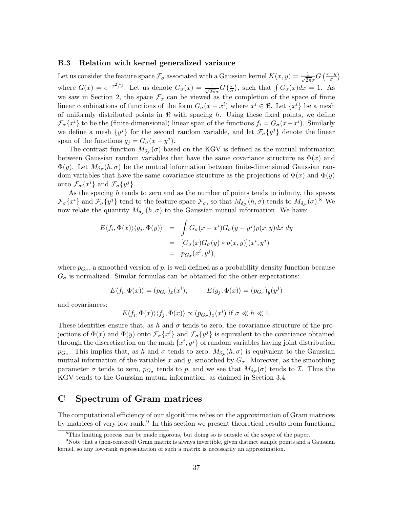### **B.3 Relation with kernel generalized variance**

Let us consider the feature space  $\mathcal{F}_{\sigma}$  associated with a Gaussian kernel  $K(x, y) = \frac{1}{\sqrt{2}}$  $rac{1}{2\pi\sigma}G\left(\frac{x-y}{\sigma}\right)$  $\frac{-y}{\sigma}$ where  $G(x) = e^{-x^2/2}$ . Let us denote  $G_{\sigma}(x) = \frac{1}{\sqrt{2\pi}\sigma} G\left(\frac{x}{\sigma}\right)$ <br>we saw in Section 2, the space  $\mathcal{F}_{\sigma}$  can be viewed as the  $\frac{x}{\sigma}$ , such that  $\int G_{\sigma}(x)dx = 1$ . As we saw in Section 2, the space  $\mathcal{F}_{\sigma}$  can be viewed as the completion of the space of finite linear combinations of functions of the form  $G_{\sigma}(x-x^i)$  where  $x^i \in \mathbb{R}$ . Let  $\{x^i\}$  be a mesh of uniformly distributed points in  $\Re$  with spacing h. Using these fixed points, we define  $\mathcal{F}_{\sigma}\{x^{i}\}\$  to be the (finite-dimensional) linear span of the functions  $f_{i} = G_{\sigma}(x-x^{i})$ . Similarly we define a mesh  $\{y^j\}$  for the second random variable, and let  $\mathcal{F}_{\sigma}\{y^j\}$  denote the linear span of the functions  $g_i = G_{\sigma}(x - y^j)$ .

The contrast function  $M_{\delta_{\mathcal{F}}}(\sigma)$  based on the KGV is defined as the mutual information between Gaussian random variables that have the same covariance structure as  $\Phi(x)$  and  $\Phi(y)$ . Let  $M_{\delta\tau}(h,\sigma)$  be the mutual information between finite-dimensional Gaussian random variables that have the same covariance structure as the projections of  $\Phi(x)$  and  $\Phi(y)$ onto  $\mathcal{F}_{\sigma}\lbrace x^i \rbrace$  and  $\mathcal{F}_{\sigma}\lbrace y^j \rbrace$ .

As the spacing  $h$  tends to zero and as the number of points tends to infinity, the spaces  $\mathcal{F}_{\sigma}\lbrace x^i \rbrace$  and  $\mathcal{F}_{\sigma}\lbrace y^j \rbrace$  tend to the feature space  $\mathcal{F}_{\sigma}$ , so that  $M_{\delta_{\mathcal{F}}}(h,\sigma)$  tends to  $M_{\delta_{\mathcal{F}}}(\sigma)$ .<sup>8</sup> We now relate the quantity  $M_{\delta_{\mathcal{F}}}(h, \sigma)$  to the Gaussian mutual information. We have:

$$
E\langle f_i, \Phi(x) \rangle \langle g_j, \Phi(y) \rangle = \int G_{\sigma}(x - x^i) G_{\sigma}(y - y^j) p(x, y) dx dy
$$
  
= 
$$
[G_{\sigma}(x) G_{\sigma}(y) * p(x, y)](x^i, y^j)
$$
  
= 
$$
p_{G_{\sigma}}(x^i, y^j),
$$

where  $p_{G_{\sigma}}$ , a smoothed version of p, is well defined as a probability density function because  $G_{\sigma}$  is normalized. Similar formulas can be obtained for the other expectations:

$$
E\langle f_i, \Phi(x)\rangle = (p_{G_{\sigma}})_x(x^i), \qquad E\langle g_j, \Phi(x)\rangle = (p_{G_{\sigma}})_y(y^j)
$$

and covariances:

$$
E\langle f_i, \Phi(x)\rangle \langle f_j, \Phi(x)\rangle \propto (p_{G_{\sigma}})_x(x^i)
$$
 if  $\sigma \ll h \ll 1$ .

These identities ensure that, as h and  $\sigma$  tends to zero, the covariance structure of the projections of  $\Phi(x)$  and  $\Phi(y)$  onto  $\mathcal{F}_{\sigma}\{x^{i}\}\$ and  $\mathcal{F}_{\sigma}\{y^{j}\}\$ is equivalent to the covariance obtained through the discretization on the mesh  $\{x^i, y^j\}$  of random variables having joint distribution  $p_{G_{\sigma}}$ . This implies that, as h and  $\sigma$  tends to zero,  $M_{\delta_{\mathcal{F}}}(h,\sigma)$  is equivalent to the Gaussian mutual information of the variables x and y, smoothed by  $G_{\sigma}$ . Moreover, as the smoothing parameter  $\sigma$  tends to zero,  $p_{G_{\sigma}}$  tends to p, and we see that  $M_{\delta_{\tau}}(\sigma)$  tends to  $\mathcal{I}$ . Thus the KGV tends to the Gaussian mutual information, as claimed in Section 3.4.

### **C Spectrum of Gram matrices**

The computational efficiency of our algorithms relies on the approximation of Gram matrices by matrices of very low rank.<sup>9</sup> In this section we present theoretical results from functional

<sup>&</sup>lt;sup>8</sup>This limiting process can be made rigorous, but doing so is outside of the scope of the paper.

<sup>&</sup>lt;sup>9</sup>Note that a (non-centered) Gram matrix is always invertible, given distinct sample points and a Gaussian kernel, so any low-rank representation of such a matrix is necessarily an approximation.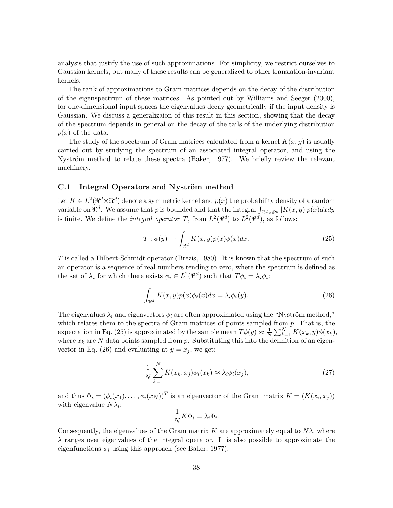analysis that justify the use of such approximations. For simplicity, we restrict ourselves to Gaussian kernels, but many of these results can be generalized to other translation-invariant kernels.

The rank of approximations to Gram matrices depends on the decay of the distribution of the eigenspectrum of these matrices. As pointed out by Williams and Seeger (2000), for one-dimensional input spaces the eigenvalues decay geometrically if the input density is Gaussian. We discuss a generalizaion of this result in this section, showing that the decay of the spectrum depends in general on the decay of the tails of the underlying distribution  $p(x)$  of the data.

The study of the spectrum of Gram matrices calculated from a kernel  $K(x, y)$  is usually carried out by studying the spectrum of an associated integral operator, and using the Nyström method to relate these spectra (Baker, 1977). We briefly review the relevant machinery.

### **C.1** Integral Operators and Nyström method

Let  $K \in L^2(\mathbb{R}^d \times \mathbb{R}^d)$  denote a symmetric kernel and  $p(x)$  the probability density of a random variable on  $\mathcal{R}^d$ . We assume that p is bounded and that the integral  $\int_{\mathcal{R}^d \times \mathcal{R}^d} |K(x, y)| p(x) dx dy$ is finite. We define the *integral operator* T, from  $L^2(\mathbb{R}^d)$  to  $L^2(\mathbb{R}^d)$ , as follows:

$$
T: \phi(y) \mapsto \int_{\Re^d} K(x, y) p(x) \phi(x) dx.
$$
 (25)

T is called a Hilbert-Schmidt operator (Brezis, 1980). It is known that the spectrum of such an operator is a sequence of real numbers tending to zero, where the spectrum is defined as the set of  $\lambda_i$  for which there exists  $\phi_i \in L^2(\mathbb{R}^d)$  such that  $T\phi_i = \lambda_i \phi_i$ :

$$
\int_{\Re^d} K(x, y) p(x) \phi_i(x) dx = \lambda_i \phi_i(y). \tag{26}
$$

The eigenvalues  $\lambda_i$  and eigenvectors  $\phi_i$  are often approximated using the "Nyström method," which relates them to the spectra of Gram matrices of points sampled from p. That is, the expectation in Eq. (25) is approximated by the sample mean  $T\phi(y) \approx \frac{1}{N} \sum_{k=1}^{N} K(x_k, y) \phi(x_k)$ , where  $x_k$  are N data points sampled from p. Substituting this into the definition of an eigenvector in Eq. (26) and evaluating at  $y = x_j$ , we get:

$$
\frac{1}{N} \sum_{k=1}^{N} K(x_k, x_j) \phi_i(x_k) \approx \lambda_i \phi_i(x_j), \tag{27}
$$

and thus  $\Phi_i = (\phi_i(x_1), \ldots, \phi_i(x_N))^T$  is an eigenvector of the Gram matrix  $K = (K(x_i, x_i))$ with eigenvalue  $N\lambda_i$ :

$$
\frac{1}{N}K\Phi_i = \lambda_i \Phi_i.
$$

Consequently, the eigenvalues of the Gram matrix K are approximately equal to  $N\lambda$ , where  $\lambda$  ranges over eigenvalues of the integral operator. It is also possible to approximate the eigenfunctions  $\phi_i$  using this approach (see Baker, 1977).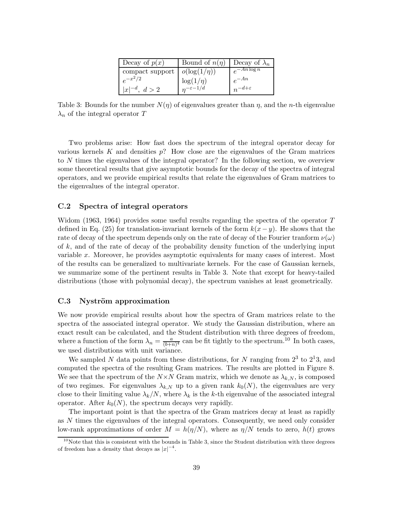| Decay of $p(x)$                        | Bound of $n(\eta)$ Decay of $\lambda_n$        |                      |
|----------------------------------------|------------------------------------------------|----------------------|
| compact support $\sigma(\log(1/\eta))$ |                                                | $e^{-An\log n}$      |
| $e^{-x^2/2}$                           | $\frac{\log(1/\eta)}{\eta^{-\varepsilon-1/d}}$ | $e^{-An}$            |
| $ x ^{-d}, d > 2$                      |                                                | $n^{-d+\varepsilon}$ |

Table 3: Bounds for the number  $N(\eta)$  of eigenvalues greater than  $\eta$ , and the *n*-th eigenvalue  $\lambda_n$  of the integral operator T

Two problems arise: How fast does the spectrum of the integral operator decay for various kernels K and densities  $p$ ? How close are the eigenvalues of the Gram matrices to N times the eigenvalues of the integral operator? In the following section, we overview some theoretical results that give asymptotic bounds for the decay of the spectra of integral operators, and we provide empirical results that relate the eigenvalues of Gram matrices to the eigenvalues of the integral operator.

### **C.2 Spectra of integral operators**

Widom (1963, 1964) provides some useful results regarding the spectra of the operator  $T$ defined in Eq. (25) for translation-invariant kernels of the form  $k(x-y)$ . He shows that the rate of decay of the spectrum depends only on the rate of decay of the Fourier tranform  $\nu(\omega)$ of  $k$ , and of the rate of decay of the probability density function of the underlying input variable x. Moreover, he provides asymptotic equivalents for many cases of interest. Most of the results can be generalized to multivariate kernels. For the case of Gaussian kernels, we summarize some of the pertinent results in Table 3. Note that except for heavy-tailed distributions (those with polynomial decay), the spectrum vanishes at least geometrically.

### **C.3** Nyström approximation

We now provide empirical results about how the spectra of Gram matrices relate to the spectra of the associated integral operator. We study the Gaussian distribution, where an exact result can be calculated, and the Student distribution with three degrees of freedom, where a function of the form  $\lambda_n = \frac{a}{(b+n)^4}$  can be fit tightly to the spectrum.<sup>10</sup> In both cases, we used distributions with unit variance.

We sampled N data points from these distributions, for N ranging from  $2^3$  to  $2^13$ , and computed the spectra of the resulting Gram matrices. The results are plotted in Figure 8. We see that the spectrum of the  $N \times N$  Gram matrix, which we denote as  $\lambda_{k,N}$ , is composed of two regimes. For eigenvalues  $\lambda_{k,N}$  up to a given rank  $k_0(N)$ , the eigenvalues are very close to their limiting value  $\lambda_k/N$ , where  $\lambda_k$  is the k-th eigenvalue of the associated integral operator. After  $k_0(N)$ , the spectrum decays very rapidly.

The important point is that the spectra of the Gram matrices decay at least as rapidly as N times the eigenvalues of the integral operators. Consequently, we need only consider low-rank approximations of order  $M = h(\eta/N)$ , where as  $\eta/N$  tends to zero,  $h(t)$  grows

 $10$ Note that this is consistent with the bounds in Table 3, since the Student distribution with three degrees of freedom has a density that decays as  $|x|^{-4}$ .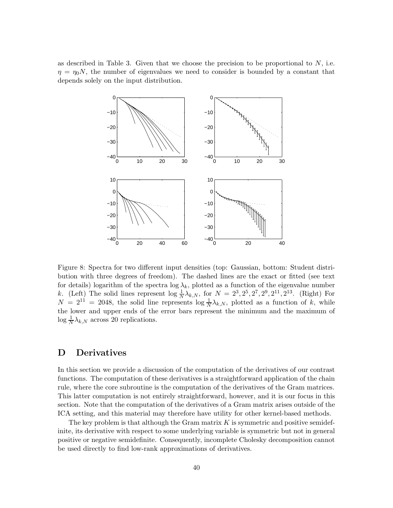as described in Table 3. Given that we choose the precision to be proportional to  $N$ , i.e.  $\eta = \eta_0 N$ , the number of eigenvalues we need to consider is bounded by a constant that depends solely on the input distribution.



Figure 8: Spectra for two different input densities (top: Gaussian, bottom: Student distribution with three degrees of freedom). The dashed lines are the exact or fitted (see text for details) logarithm of the spectra log  $\lambda_k$ , plotted as a function of the eigenvalue number k. (Left) The solid lines represent  $\log \frac{1}{N} \lambda_{k,N}$ , for  $N = 2^3, 2^5, 2^7, 2^9, 2^{11}, 2^{13}$ . (Right) For  $N = 2^{11} = 2048$ , the solid line represents  $\log \frac{1}{N} \lambda_{k,N}$ , plotted as a function of k, while the lower and upper ends of the error bars represent the minimum and the maximum of  $\log \frac{1}{N} \lambda_{k,N}$  across 20 replications.

### **D Derivatives**

In this section we provide a discussion of the computation of the derivatives of our contrast functions. The computation of these derivatives is a straightforward application of the chain rule, where the core subroutine is the computation of the derivatives of the Gram matrices. This latter computation is not entirely straightforward, however, and it is our focus in this section. Note that the computation of the derivatives of a Gram matrix arises outside of the ICA setting, and this material may therefore have utility for other kernel-based methods.

The key problem is that although the Gram matrix  $K$  is symmetric and positive semidefinite, its derivative with respect to some underlying variable is symmetric but not in general positive or negative semidefinite. Consequently, incomplete Cholesky decomposition cannot be used directly to find low-rank approximations of derivatives.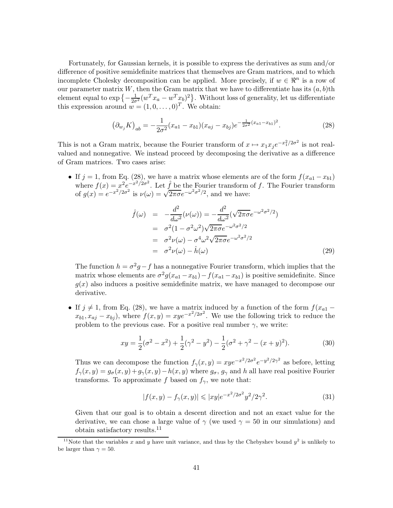Fortunately, for Gaussian kernels, it is possible to express the derivatives as sum and/or difference of positive semidefinite matrices that themselves are Gram matrices, and to which incomplete Cholesky decomposition can be applied. More precisely, if  $w \in \mathbb{R}^n$  is a row of our parameter matrix W, then the Gram matrix that we have to differentiate has its  $(a, b)$ th element equal to  $\exp\left\{-\frac{1}{2\sigma^2}(w^T x_a - w^T x_b)^2\right\}$ . Without loss of generality, let us differentiate this expression around  $w = (1, 0, \dots, 0)^T$ . We obtain this expression around  $w = (1, 0, \ldots, 0)^T$ . We obtain:

$$
\left(\partial_{w_j} K\right)_{ab} = -\frac{1}{2\sigma^2} (x_{a1} - x_{b1}) (x_{aj} - x_{bj}) e^{-\frac{1}{2\sigma^2} (x_{a1} - x_{b1})^2}.
$$
\n(28)

This is not a Gram matrix, because the Fourier transform of  $x \mapsto x_1 x_j e^{-x_1^2/2\sigma^2}$  is not real-<br>related and permeasing. We instead present by decomposing the derivative as a difference valued and nonnegative. We instead proceed by decomposing the derivative as a difference of Gram matrices. Two cases arise:

• If  $j = 1$ , from Eq. (28), we have a matrix whose elements are of the form  $f(x_{a1} - x_{b1})$ where  $f(x) = x^2 e^{-x^2/2\sigma^2}$ . Let  $\hat{f}$  be the Fourier transform of f. The Fourier transform where  $f(x) = x e^{-x^2/2\sigma^2}$  is  $\nu(\omega) = \sqrt{2\pi\sigma}e^{-\omega^2\sigma^2/2}$ , and we have:

$$
\hat{f}(\omega) = -\frac{d^2}{d\omega^2}(\nu(\omega)) = -\frac{d^2}{d\omega^2}(\sqrt{2\pi\sigma}e^{-\omega^2\sigma^2/2})
$$
\n
$$
= \sigma^2(1-\sigma^2\omega^2)\sqrt{2\pi\sigma}e^{-\omega^2\sigma^2/2}
$$
\n
$$
= \sigma^2\nu(\omega) - \sigma^4\omega^2\sqrt{2\pi\sigma}e^{-\omega^2\sigma^2/2}
$$
\n
$$
= \sigma^2\nu(\omega) - \hat{h}(\omega) \tag{29}
$$

The function  $h = \sigma^2 g - f$  has a nonnegative Fourier transform, which implies that the matrix whose elements are  $\sigma^2 g(x_{a1} - x_{b1}) - f(x_{a1} - x_{b1})$  is positive semidefinite. Since  $q(x)$  also induces a positive semidefinite matrix, we have managed to decompose our derivative.

• If  $j \neq 1$ , from Eq. (28), we have a matrix induced by a function of the form  $f(x_{a1} - x_{a1})$  where  $f(x_a)$  =  $\sum_{n=1}^{\infty}$   $\sum_{n=1}^{\infty}$   $\sum_{n=1}^{\infty}$   $\sum_{n=1}^{\infty}$   $\sum_{n=1}^{\infty}$   $\sum_{n=1}^{\infty}$   $\sum_{n=1}^{\infty}$   $\sum_{n$  $x_{b1}, x_{aj} - x_{bj}$ , where  $f(x, y) = xye^{-x^2/2\sigma^2}$ . We use the following trick to reduce the problem to the previous case. For a positive real number  $\gamma$ , we write:

$$
xy = \frac{1}{2}(\sigma^2 - x^2) + \frac{1}{2}(\gamma^2 - y^2) - \frac{1}{2}(\sigma^2 + \gamma^2 - (x + y)^2).
$$
 (30)

Thus we can decompose the function  $f_{\gamma}(x, y) = xye^{-x^2/2\sigma^2}e^{-y^2/2\gamma^2}$  as before, letting  $f_{\gamma}(x, y) = g_{\sigma}(x, y) + g_{\gamma}(x, y) - h(x, y)$  where  $g_{\sigma}, g_{\gamma}$  and h all have real positive Fourier transforms. To approximate f based on  $f_{\gamma}$ , we note that:

$$
|f(x,y) - f_{\gamma}(x,y)| \le |xy|e^{-x^2/2\sigma^2}y^2/2\gamma^2.
$$
 (31)

Given that our goal is to obtain a descent direction and not an exact value for the derivative, we can chose a large value of  $\gamma$  (we used  $\gamma = 50$  in our simulations) and obtain satisfactory results.11

<sup>&</sup>lt;sup>11</sup>Note that the variables x and y have unit variance, and thus by the Chebyshev bound  $y^2$  is unlikely to be larger than  $\gamma = 50$ .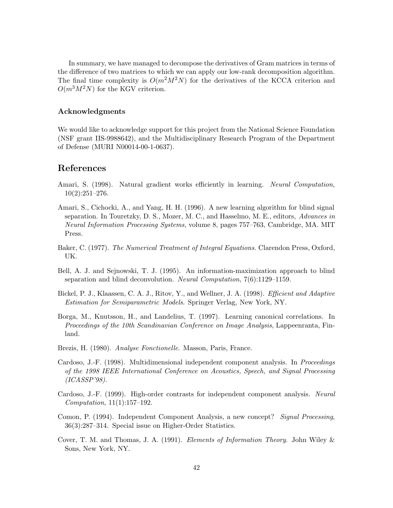In summary, we have managed to decompose the derivatives of Gram matrices in terms of the difference of two matrices to which we can apply our low-rank decomposition algorithm. The final time complexity is  $O(m^2M^2N)$  for the derivatives of the KCCA criterion and  $O(m^3M^2N)$  for the KGV criterion.

#### **Acknowledgments**

We would like to acknowledge support for this project from the National Science Foundation (NSF grant IIS-9988642), and the Multidisciplinary Research Program of the Department of Defense (MURI N00014-00-1-0637).

### **References**

- Amari, S. (1998). Natural gradient works efficiently in learning. *Neural Computation*, 10(2):251–276.
- Amari, S., Cichocki, A., and Yang, H. H. (1996). A new learning algorithm for blind signal separation. In Touretzky, D. S., Mozer, M. C., and Hasselmo, M. E., editors, *Advances in Neural Information Processing Systems*, volume 8, pages 757–763, Cambridge, MA. MIT Press.
- Baker, C. (1977). *The Numerical Treatment of Integral Equations*. Clarendon Press, Oxford, UK.
- Bell, A. J. and Sejnowski, T. J. (1995). An information-maximization approach to blind separation and blind deconvolution. *Neural Computation*, 7(6):1129–1159.
- Bickel, P. J., Klaassen, C. A. J., Ritov, Y., and Wellner, J. A. (1998). *Efficient and Adaptive Estimation for Semiparametric Models*. Springer Verlag, New York, NY.
- Borga, M., Knutsson, H., and Landelius, T. (1997). Learning canonical correlations. In *Proceedings of the 10th Scandinavian Conference on Image Analysis*, Lappeenranta, Finland.
- Brezis, H. (1980). *Analyse Fonctionelle*. Masson, Paris, France.
- Cardoso, J.-F. (1998). Multidimensional independent component analysis. In *Proceedings of the 1998 IEEE International Conference on Acoustics, Speech, and Signal Processing (ICASSP'98)*.
- Cardoso, J.-F. (1999). High-order contrasts for independent component analysis. *Neural Computation*, 11(1):157–192.
- Comon, P. (1994). Independent Component Analysis, a new concept? *Signal Processing*, 36(3):287–314. Special issue on Higher-Order Statistics.
- Cover, T. M. and Thomas, J. A. (1991). *Elements of Information Theory*. John Wiley & Sons, New York, NY.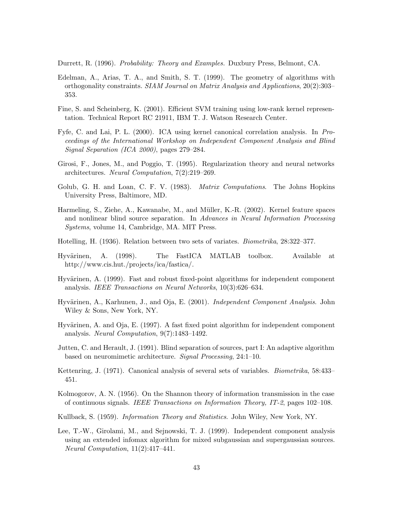Durrett, R. (1996). *Probability: Theory and Examples*. Duxbury Press, Belmont, CA.

- Edelman, A., Arias, T. A., and Smith, S. T. (1999). The geometry of algorithms with orthogonality constraints. *SIAM Journal on Matrix Analysis and Applications*, 20(2):303– 353.
- Fine, S. and Scheinberg, K. (2001). Efficient SVM training using low-rank kernel representation. Technical Report RC 21911, IBM T. J. Watson Research Center.
- Fyfe, C. and Lai, P. L. (2000). ICA using kernel canonical correlation analysis. In *Proceedings of the International Workshop on Independent Component Analysis and Blind Signal Separation (ICA 2000)*, pages 279–284.
- Girosi, F., Jones, M., and Poggio, T. (1995). Regularization theory and neural networks architectures. *Neural Computation*, 7(2):219–269.
- Golub, G. H. and Loan, C. F. V. (1983). *Matrix Computations*. The Johns Hopkins University Press, Baltimore, MD.
- Harmeling, S., Ziehe, A., Kawanabe, M., and M¨uller, K.-R. (2002). Kernel feature spaces and nonlinear blind source separation. In *Advances in Neural Information Processing Systems*, volume 14, Cambridge, MA. MIT Press.
- Hotelling, H. (1936). Relation between two sets of variates. *Biometrika*, 28:322–377.
- Hyvärinen, A. (1998). The FastICA MATLAB toolbox. Available at http://www.cis.hut./projects/ica/fastica/.
- Hyvärinen, A. (1999). Fast and robust fixed-point algorithms for independent component analysis. *IEEE Transactions on Neural Networks*, 10(3):626–634.
- Hyvärinen, A., Karhunen, J., and Oja, E. (2001). *Independent Component Analysis*. John Wiley & Sons, New York, NY.
- Hyvärinen, A. and Oja, E. (1997). A fast fixed point algorithm for independent component analysis. *Neural Computation*, 9(7):1483–1492.
- Jutten, C. and Herault, J. (1991). Blind separation of sources, part I: An adaptive algorithm based on neuromimetic architecture. *Signal Processing*, 24:1–10.
- Kettenring, J. (1971). Canonical analysis of several sets of variables. *Biometrika*, 58:433– 451.
- Kolmogorov, A. N. (1956). On the Shannon theory of information transmission in the case of continuous signals. *IEEE Transactions on Information Theory, IT-2*, pages 102–108.
- Kullback, S. (1959). *Information Theory and Statistics*. John Wiley, New York, NY.
- Lee, T.-W., Girolami, M., and Sejnowski, T. J. (1999). Independent component analysis using an extended infomax algorithm for mixed subgaussian and supergaussian sources. *Neural Computation*, 11(2):417–441.